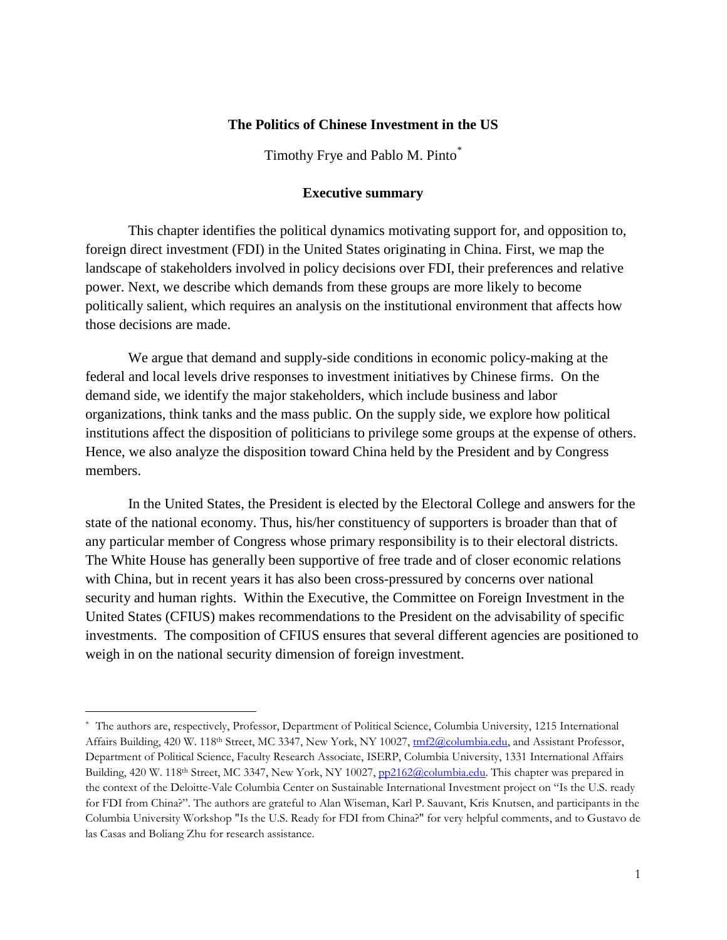# **The Politics of Chinese Investment in the US**

Timothy Frye and Pablo M. Pinto[\\*](#page-0-0)

# **Executive summary**

This chapter identifies the political dynamics motivating support for, and opposition to, foreign direct investment (FDI) in the United States originating in China. First, we map the landscape of stakeholders involved in policy decisions over FDI, their preferences and relative power. Next, we describe which demands from these groups are more likely to become politically salient, which requires an analysis on the institutional environment that affects how those decisions are made.

We argue that demand and supply-side conditions in economic policy-making at the federal and local levels drive responses to investment initiatives by Chinese firms. On the demand side, we identify the major stakeholders, which include business and labor organizations, think tanks and the mass public. On the supply side, we explore how political institutions affect the disposition of politicians to privilege some groups at the expense of others. Hence, we also analyze the disposition toward China held by the President and by Congress members.

In the United States, the President is elected by the Electoral College and answers for the state of the national economy. Thus, his/her constituency of supporters is broader than that of any particular member of Congress whose primary responsibility is to their electoral districts. The White House has generally been supportive of free trade and of closer economic relations with China, but in recent years it has also been cross-pressured by concerns over national security and human rights. Within the Executive, the Committee on Foreign Investment in the United States (CFIUS) makes recommendations to the President on the advisability of specific investments. The composition of CFIUS ensures that several different agencies are positioned to weigh in on the national security dimension of foreign investment.

<span id="page-0-0"></span><sup>\*</sup> The authors are, respectively, Professor, Department of Political Science, Columbia University, 1215 International Affairs Building, 420 W. 118<sup>th</sup> Street, MC 3347, New York, NY 10027, [tmf2@columbia.edu,](mailto:tmf2@columbia.edu) and Assistant Professor, Department of Political Science, Faculty Research Associate, ISERP, Columbia University, 1331 International Affairs Building, 420 W. 118<sup>th</sup> Street, MC 3347, New York, NY 10027, [pp2162@columbia.edu.](mailto:pp2162@columbia.edu) This chapter was prepared in the context of the Deloitte-Vale Columbia Center on Sustainable International Investment project on "Is the U.S. ready for FDI from China?". The authors are grateful to Alan Wiseman, Karl P. Sauvant, Kris Knutsen, and participants in the Columbia University Workshop "Is the U.S. Ready for FDI from China?" for very helpful comments, and to Gustavo de las Casas and Boliang Zhu for research assistance.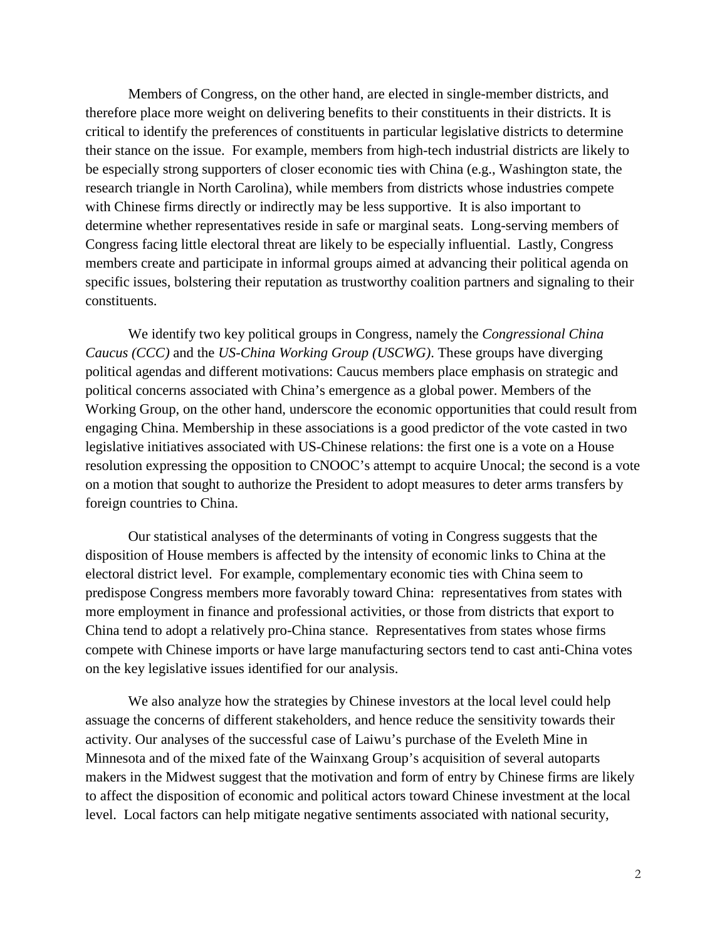Members of Congress, on the other hand, are elected in single-member districts, and therefore place more weight on delivering benefits to their constituents in their districts. It is critical to identify the preferences of constituents in particular legislative districts to determine their stance on the issue. For example, members from high-tech industrial districts are likely to be especially strong supporters of closer economic ties with China (e.g., Washington state, the research triangle in North Carolina), while members from districts whose industries compete with Chinese firms directly or indirectly may be less supportive. It is also important to determine whether representatives reside in safe or marginal seats. Long-serving members of Congress facing little electoral threat are likely to be especially influential. Lastly, Congress members create and participate in informal groups aimed at advancing their political agenda on specific issues, bolstering their reputation as trustworthy coalition partners and signaling to their constituents.

We identify two key political groups in Congress, namely the *Congressional China Caucus (CCC)* and the *US-China Working Group (USCWG)*. These groups have diverging political agendas and different motivations: Caucus members place emphasis on strategic and political concerns associated with China's emergence as a global power. Members of the Working Group, on the other hand, underscore the economic opportunities that could result from engaging China. Membership in these associations is a good predictor of the vote casted in two legislative initiatives associated with US-Chinese relations: the first one is a vote on a House resolution expressing the opposition to CNOOC's attempt to acquire Unocal; the second is a vote on a motion that sought to authorize the President to adopt measures to deter arms transfers by foreign countries to China.

Our statistical analyses of the determinants of voting in Congress suggests that the disposition of House members is affected by the intensity of economic links to China at the electoral district level. For example, complementary economic ties with China seem to predispose Congress members more favorably toward China: representatives from states with more employment in finance and professional activities, or those from districts that export to China tend to adopt a relatively pro-China stance. Representatives from states whose firms compete with Chinese imports or have large manufacturing sectors tend to cast anti-China votes on the key legislative issues identified for our analysis.

We also analyze how the strategies by Chinese investors at the local level could help assuage the concerns of different stakeholders, and hence reduce the sensitivity towards their activity. Our analyses of the successful case of Laiwu's purchase of the Eveleth Mine in Minnesota and of the mixed fate of the Wainxang Group's acquisition of several autoparts makers in the Midwest suggest that the motivation and form of entry by Chinese firms are likely to affect the disposition of economic and political actors toward Chinese investment at the local level. Local factors can help mitigate negative sentiments associated with national security,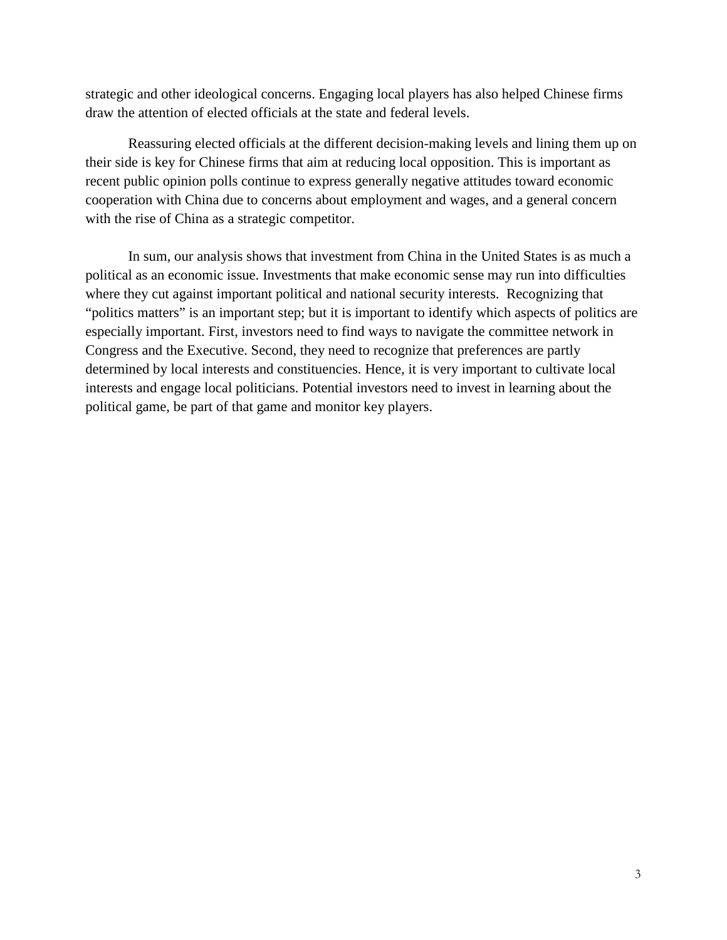strategic and other ideological concerns. Engaging local players has also helped Chinese firms draw the attention of elected officials at the state and federal levels.

Reassuring elected officials at the different decision-making levels and lining them up on their side is key for Chinese firms that aim at reducing local opposition. This is important as recent public opinion polls continue to express generally negative attitudes toward economic cooperation with China due to concerns about employment and wages, and a general concern with the rise of China as a strategic competitor.

In sum, our analysis shows that investment from China in the United States is as much a political as an economic issue. Investments that make economic sense may run into difficulties where they cut against important political and national security interests. Recognizing that "politics matters" is an important step; but it is important to identify which aspects of politics are especially important. First, investors need to find ways to navigate the committee network in Congress and the Executive. Second, they need to recognize that preferences are partly determined by local interests and constituencies. Hence, it is very important to cultivate local interests and engage local politicians. Potential investors need to invest in learning about the political game, be part of that game and monitor key players.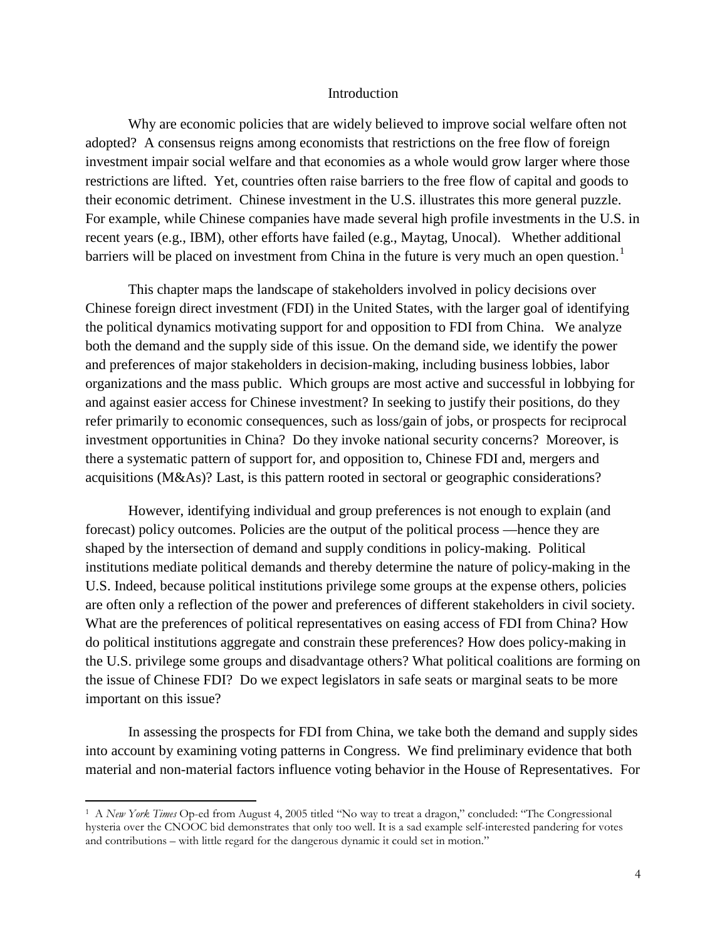#### Introduction

Why are economic policies that are widely believed to improve social welfare often not adopted? A consensus reigns among economists that restrictions on the free flow of foreign investment impair social welfare and that economies as a whole would grow larger where those restrictions are lifted. Yet, countries often raise barriers to the free flow of capital and goods to their economic detriment. Chinese investment in the U.S. illustrates this more general puzzle. For example, while Chinese companies have made several high profile investments in the U.S. in recent years (e.g., IBM), other efforts have failed (e.g., Maytag, Unocal). Whether additional barriers will be placed on investment from China in the future is very much an open question.<sup>[1](#page-3-0)</sup>

This chapter maps the landscape of stakeholders involved in policy decisions over Chinese foreign direct investment (FDI) in the United States, with the larger goal of identifying the political dynamics motivating support for and opposition to FDI from China. We analyze both the demand and the supply side of this issue. On the demand side, we identify the power and preferences of major stakeholders in decision-making, including business lobbies, labor organizations and the mass public. Which groups are most active and successful in lobbying for and against easier access for Chinese investment? In seeking to justify their positions, do they refer primarily to economic consequences, such as loss/gain of jobs, or prospects for reciprocal investment opportunities in China? Do they invoke national security concerns? Moreover, is there a systematic pattern of support for, and opposition to, Chinese FDI and, mergers and acquisitions (M&As)? Last, is this pattern rooted in sectoral or geographic considerations?

However, identifying individual and group preferences is not enough to explain (and forecast) policy outcomes. Policies are the output of the political process —hence they are shaped by the intersection of demand and supply conditions in policy-making. Political institutions mediate political demands and thereby determine the nature of policy-making in the U.S. Indeed, because political institutions privilege some groups at the expense others, policies are often only a reflection of the power and preferences of different stakeholders in civil society. What are the preferences of political representatives on easing access of FDI from China? How do political institutions aggregate and constrain these preferences? How does policy-making in the U.S. privilege some groups and disadvantage others? What political coalitions are forming on the issue of Chinese FDI? Do we expect legislators in safe seats or marginal seats to be more important on this issue?

In assessing the prospects for FDI from China, we take both the demand and supply sides into account by examining voting patterns in Congress. We find preliminary evidence that both material and non-material factors influence voting behavior in the House of Representatives. For

<span id="page-3-0"></span><sup>1</sup> A *New York Times* Op-ed from August 4, 2005 titled "No way to treat a dragon," concluded: "The Congressional hysteria over the CNOOC bid demonstrates that only too well. It is a sad example self-interested pandering for votes and contributions – with little regard for the dangerous dynamic it could set in motion."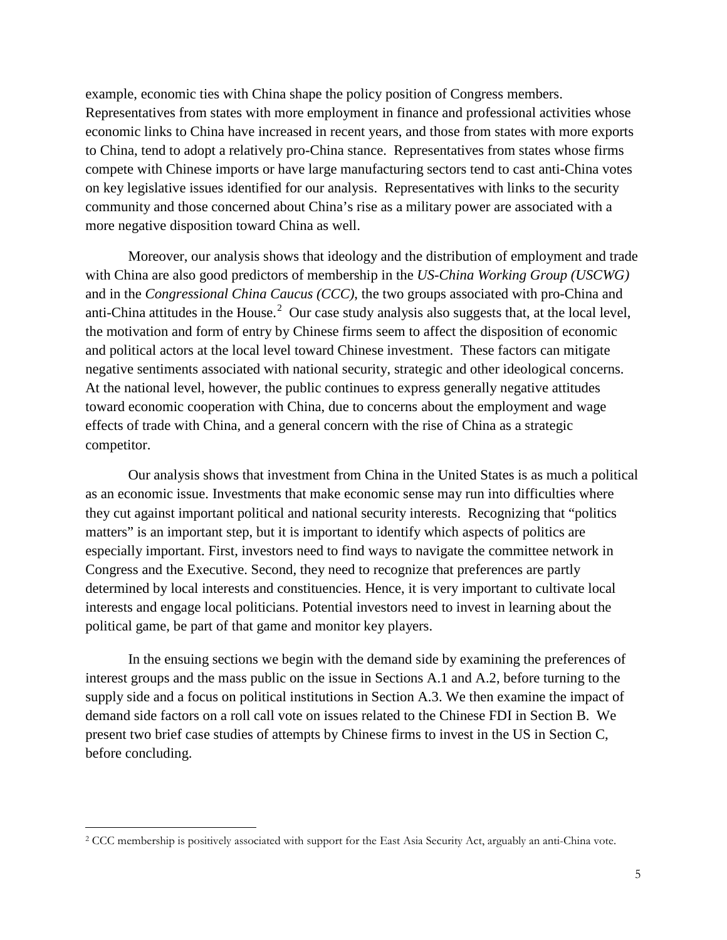example, economic ties with China shape the policy position of Congress members. Representatives from states with more employment in finance and professional activities whose economic links to China have increased in recent years, and those from states with more exports to China, tend to adopt a relatively pro-China stance. Representatives from states whose firms compete with Chinese imports or have large manufacturing sectors tend to cast anti-China votes on key legislative issues identified for our analysis. Representatives with links to the security community and those concerned about China's rise as a military power are associated with a more negative disposition toward China as well.

Moreover, our analysis shows that ideology and the distribution of employment and trade with China are also good predictors of membership in the *US-China Working Group (USCWG)* and in the *Congressional China Caucus (CCC)*, the two groups associated with pro-China and anti-China attitudes in the House. $^2$  $^2$  Our case study analysis also suggests that, at the local level, the motivation and form of entry by Chinese firms seem to affect the disposition of economic and political actors at the local level toward Chinese investment. These factors can mitigate negative sentiments associated with national security, strategic and other ideological concerns. At the national level, however, the public continues to express generally negative attitudes toward economic cooperation with China, due to concerns about the employment and wage effects of trade with China, and a general concern with the rise of China as a strategic competitor.

Our analysis shows that investment from China in the United States is as much a political as an economic issue. Investments that make economic sense may run into difficulties where they cut against important political and national security interests. Recognizing that "politics matters" is an important step, but it is important to identify which aspects of politics are especially important. First, investors need to find ways to navigate the committee network in Congress and the Executive. Second, they need to recognize that preferences are partly determined by local interests and constituencies. Hence, it is very important to cultivate local interests and engage local politicians. Potential investors need to invest in learning about the political game, be part of that game and monitor key players.

In the ensuing sections we begin with the demand side by examining the preferences of interest groups and the mass public on the issue in Sections A.1 and A.2, before turning to the supply side and a focus on political institutions in Section A.3. We then examine the impact of demand side factors on a roll call vote on issues related to the Chinese FDI in Section B. We present two brief case studies of attempts by Chinese firms to invest in the US in Section C, before concluding.

<span id="page-4-0"></span><sup>2</sup> CCC membership is positively associated with support for the East Asia Security Act, arguably an anti-China vote.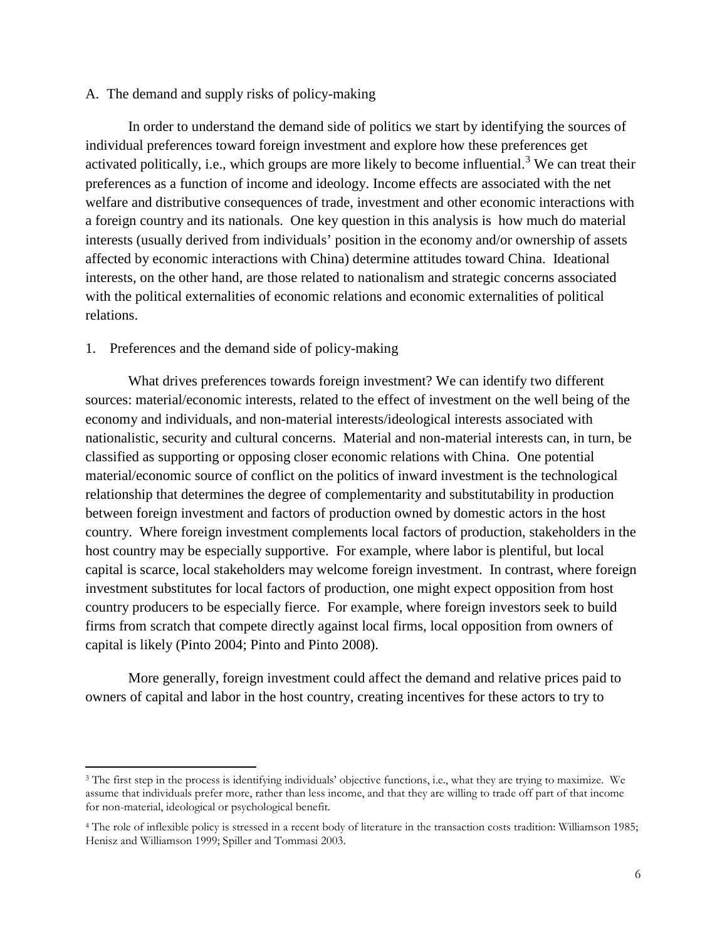#### A. The demand and supply risks of policy-making

In order to understand the demand side of politics we start by identifying the sources of individual preferences toward foreign investment and explore how these preferences get activated politically, i.e., which groups are more likely to become influential.<sup>[3](#page-5-0)</sup> We can treat their preferences as a function of income and ideology. Income effects are associated with the net welfare and distributive consequences of trade, investment and other economic interactions with a foreign country and its nationals. One key question in this analysis is how much do material interests (usually derived from individuals' position in the economy and/or ownership of assets affected by economic interactions with China) determine attitudes toward China. Ideational interests, on the other hand, are those related to nationalism and strategic concerns associated with the political externalities of economic relations and economic externalities of political relations.

#### 1. Preferences and the demand side of policy-making

 $\overline{\phantom{a}}$ 

What drives preferences towards foreign investment? We can identify two different sources: material/economic interests, related to the effect of investment on the well being of the economy and individuals, and non-material interests/ideological interests associated with nationalistic, security and cultural concerns. Material and non-material interests can, in turn, be classified as supporting or opposing closer economic relations with China. One potential material/economic source of conflict on the politics of inward investment is the technological relationship that determines the degree of complementarity and substitutability in production between foreign investment and factors of production owned by domestic actors in the host country. Where foreign investment complements local factors of production, stakeholders in the host country may be especially supportive[.](#page-5-1) For example, where labor is plentiful, but local capital is scarce, local stakeholders may welcome foreign investment. In contrast, where foreign investment substitutes for local factors of production, one might expect opposition from host country producers to be especially fierce. For example, where foreign investors seek to build firms from scratch that compete directly against local firms, local opposition from owners of capital is likely (Pinto 2004; Pinto and Pinto 2008).

More generally, foreign investment could affect the demand and relative prices paid to owners of capital and labor in the host country, creating incentives for these actors to try to

<span id="page-5-0"></span><sup>3</sup> The first step in the process is identifying individuals' objective functions, i.e., what they are trying to maximize. We assume that individuals prefer more, rather than less income, and that they are willing to trade off part of that income for non-material, ideological or psychological benefit.

<span id="page-5-1"></span><sup>4</sup> The role of inflexible policy is stressed in a recent body of literature in the transaction costs tradition: Williamson 1985; Henisz and Williamson 1999; Spiller and Tommasi 2003.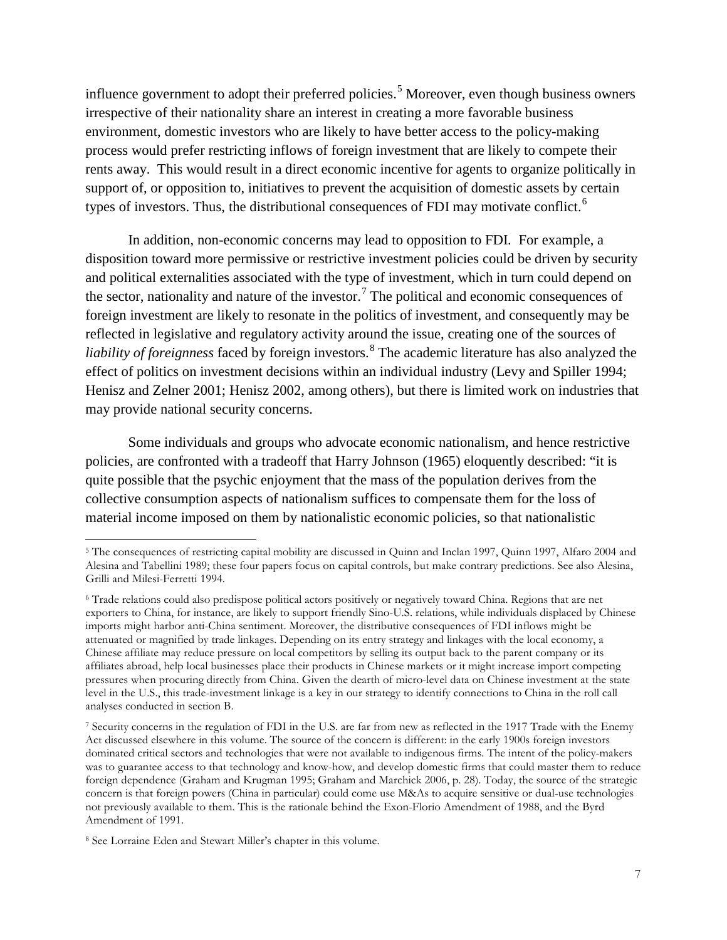influence government to adopt their preferred policies.<sup>[5](#page-6-0)</sup> Moreover, even though business owners irrespective of their nationality share an interest in creating a more favorable business environment, domestic investors who are likely to have better access to the policy-making process would prefer restricting inflows of foreign investment that are likely to compete their rents away. This would result in a direct economic incentive for agents to organize politically in support of, or opposition to, initiatives to prevent the acquisition of domestic assets by certain types of investors. Thus, the distributional consequences of FDI may motivate conflict.<sup>[6](#page-6-1)</sup>

In addition, non-economic concerns may lead to opposition to FDI. For example, a disposition toward more permissive or restrictive investment policies could be driven by security and political externalities associated with the type of investment, which in turn could depend on the sector, nationality and nature of the investor.<sup>[7](#page-6-2)</sup> The political and economic consequences of foreign investment are likely to resonate in the politics of investment, and consequently may be reflected in legislative and regulatory activity around the issue, creating one of the sources of liability of foreignness faced by foreign investors.<sup>[8](#page-6-3)</sup> The academic literature has also analyzed the effect of politics on investment decisions within an individual industry (Levy and Spiller 1994; Henisz and Zelner 2001; Henisz 2002, among others), but there is limited work on industries that may provide national security concerns.

Some individuals and groups who advocate economic nationalism, and hence restrictive policies, are confronted with a tradeoff that Harry Johnson (1965) eloquently described: "it is quite possible that the psychic enjoyment that the mass of the population derives from the collective consumption aspects of nationalism suffices to compensate them for the loss of material income imposed on them by nationalistic economic policies, so that nationalistic

<span id="page-6-0"></span><sup>5</sup> The consequences of restricting capital mobility are discussed in Quinn and Inclan 1997, Quinn 1997, Alfaro 2004 and Alesina and Tabellini 1989; these four papers focus on capital controls, but make contrary predictions. See also Alesina, Grilli and Milesi-Ferretti 1994.

<span id="page-6-1"></span><sup>6</sup> Trade relations could also predispose political actors positively or negatively toward China. Regions that are net exporters to China, for instance, are likely to support friendly Sino-U.S. relations, while individuals displaced by Chinese imports might harbor anti-China sentiment. Moreover, the distributive consequences of FDI inflows might be attenuated or magnified by trade linkages. Depending on its entry strategy and linkages with the local economy, a Chinese affiliate may reduce pressure on local competitors by selling its output back to the parent company or its affiliates abroad, help local businesses place their products in Chinese markets or it might increase import competing pressures when procuring directly from China. Given the dearth of micro-level data on Chinese investment at the state level in the U.S., this trade-investment linkage is a key in our strategy to identify connections to China in the roll call analyses conducted in section B.

<span id="page-6-2"></span><sup>7</sup> Security concerns in the regulation of FDI in the U.S. are far from new as reflected in the 1917 Trade with the Enemy Act discussed elsewhere in this volume. The source of the concern is different: in the early 1900s foreign investors dominated critical sectors and technologies that were not available to indigenous firms. The intent of the policy-makers was to guarantee access to that technology and know-how, and develop domestic firms that could master them to reduce foreign dependence (Graham and Krugman 1995; Graham and Marchick 2006, p. 28). Today, the source of the strategic concern is that foreign powers (China in particular) could come use M&As to acquire sensitive or dual-use technologies not previously available to them. This is the rationale behind the Exon-Florio Amendment of 1988, and the Byrd Amendment of 1991.

<span id="page-6-3"></span><sup>8</sup> See Lorraine Eden and Stewart Miller's chapter in this volume.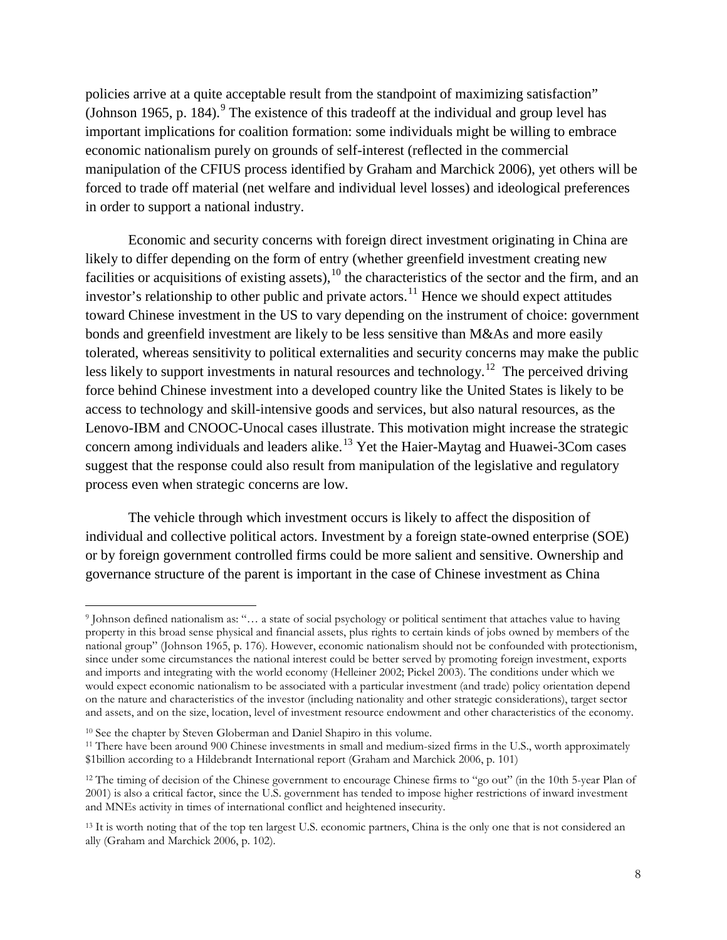policies arrive at a quite acceptable result from the standpoint of maximizing satisfaction" (Johnson 1[9](#page-7-0)65, p. 184). <sup>9</sup> The existence of this tradeoff at the individual and group level has important implications for coalition formation: some individuals might be willing to embrace economic nationalism purely on grounds of self-interest (reflected in the commercial manipulation of the CFIUS process identified by Graham and Marchick 2006), yet others will be forced to trade off material (net welfare and individual level losses) and ideological preferences in order to support a national industry.

Economic and security concerns with foreign direct investment originating in China are likely to differ depending on the form of entry (whether greenfield investment creating new facilities or acquisitions of existing assets),  $^{10}$  $^{10}$  $^{10}$  the characteristics of the sector and the firm, and an investor's relationship to other public and private actors.<sup>[11](#page-7-2)</sup> Hence we should expect attitudes toward Chinese investment in the US to vary depending on the instrument of choice: government bonds and greenfield investment are likely to be less sensitive than M&As and more easily tolerated, whereas sensitivity to political externalities and security concerns may make the public less likely to support investments in natural resources and technology.<sup>[12](#page-7-3)</sup> The perceived driving force behind Chinese investment into a developed country like the United States is likely to be access to technology and skill-intensive goods and services, but also natural resources, as the Lenovo-IBM and CNOOC-Unocal cases illustrate. This motivation might increase the strategic concern among individuals and leaders alike.<sup>[13](#page-7-4)</sup> Yet the Haier-Maytag and Huawei-3Com cases suggest that the response could also result from manipulation of the legislative and regulatory process even when strategic concerns are low.

The vehicle through which investment occurs is likely to affect the disposition of individual and collective political actors. Investment by a foreign state-owned enterprise (SOE) or by foreign government controlled firms could be more salient and sensitive. Ownership and governance structure of the parent is important in the case of Chinese investment as China

<span id="page-7-0"></span><sup>9</sup> Johnson defined nationalism as: "… a state of social psychology or political sentiment that attaches value to having property in this broad sense physical and financial assets, plus rights to certain kinds of jobs owned by members of the national group" (Johnson 1965, p. 176). However, economic nationalism should not be confounded with protectionism, since under some circumstances the national interest could be better served by promoting foreign investment, exports and imports and integrating with the world economy (Helleiner 2002; Pickel 2003). The conditions under which we would expect economic nationalism to be associated with a particular investment (and trade) policy orientation depend on the nature and characteristics of the investor (including nationality and other strategic considerations), target sector and assets, and on the size, location, level of investment resource endowment and other characteristics of the economy.

<span id="page-7-1"></span><sup>10</sup> See the chapter by Steven Globerman and Daniel Shapiro in this volume.

<span id="page-7-2"></span><sup>11</sup> There have been around 900 Chinese investments in small and medium-sized firms in the U.S., worth approximately \$1billion according to a Hildebrandt International report (Graham and Marchick 2006, p. 101)

<span id="page-7-3"></span><sup>&</sup>lt;sup>12</sup> The timing of decision of the Chinese government to encourage Chinese firms to "go out" (in the 10th 5-year Plan of 2001) is also a critical factor, since the U.S. government has tended to impose higher restrictions of inward investment and MNEs activity in times of international conflict and heightened insecurity.

<span id="page-7-4"></span><sup>&</sup>lt;sup>13</sup> It is worth noting that of the top ten largest U.S. economic partners, China is the only one that is not considered an ally (Graham and Marchick 2006, p. 102).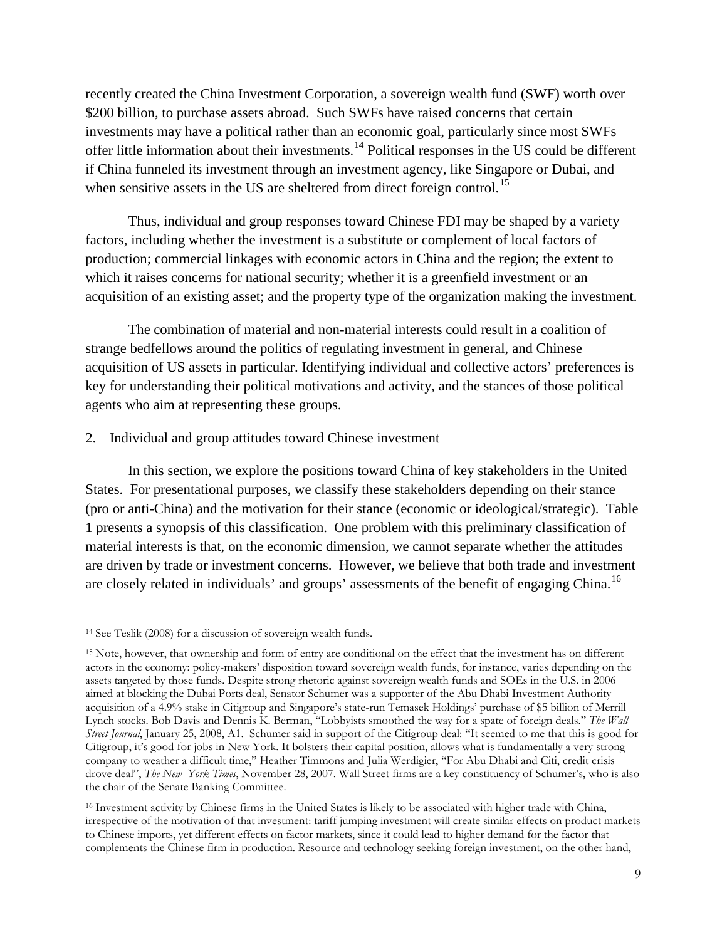recently created the China Investment Corporation, a sovereign wealth fund (SWF) worth over \$200 billion, to purchase assets abroad. Such SWFs have raised concerns that certain investments may have a political rather than an economic goal, particularly since most SWFs offer little information about their investments.[14](#page-8-0) Political responses in the US could be different if China funneled its investment through an investment agency, like Singapore or Dubai, and when sensitive assets in the US are sheltered from direct foreign control.<sup>[15](#page-8-1)</sup>

<span id="page-8-3"></span>Thus, individual and group responses toward Chinese FDI may be shaped by a variety factors, including whether the investment is a substitute or complement of local factors of production; commercial linkages with economic actors in China and the region; the extent to which it raises concerns for national security; whether it is a greenfield investment or an acquisition of an existing asset; and the property type of the organization making the investment.

The combination of material and non-material interests could result in a coalition of strange bedfellows around the politics of regulating investment in general, and Chinese acquisition of US assets in particular. Identifying individual and collective actors' preferences is key for understanding their political motivations and activity, and the stances of those political agents who aim at representing these groups.

#### 2. Individual and group attitudes toward Chinese investment

In this section, we explore the positions toward China of key stakeholders in the United States. For presentational purposes, we classify these stakeholders depending on their stance (pro or anti-China) and the motivation for their stance (economic or ideological/strategic). Table 1 presents a synopsis of this classification. One problem with this preliminary classification of material interests is that, on the economic dimension, we cannot separate whether the attitudes are driven by trade or investment concerns. However, we believe that both trade and investment are closely related in individuals' and groups' assessments of the benefit of engaging China.<sup>[16](#page-8-2)</sup>

<span id="page-8-4"></span><span id="page-8-0"></span><sup>14</sup> See Teslik (2008) for a discussion of sovereign wealth funds.

<span id="page-8-1"></span><sup>15</sup> Note, however, that ownership and form of entry are conditional on the effect that the investment has on different actors in the economy: policy-makers' disposition toward sovereign wealth funds, for instance, varies depending on the assets targeted by those funds. Despite strong rhetoric against sovereign wealth funds and SOEs in the U.S. in 2006 aimed at blocking the Dubai Ports deal, Senator Schumer was a supporter of the Abu Dhabi Investment Authority acquisition of a 4.9% stake in Citigroup and Singapore's state-run Temasek Holdings' purchase of \$5 billion of Merrill Lynch stocks. Bob Davis and Dennis K. Berman, "Lobbyists smoothed the way for a spate of foreign deals." *The Wall Street Journal*, January 25, 2008, A1. Schumer said in support of the Citigroup deal: "It seemed to me that this is good for Citigroup, it's good for jobs in New York. It bolsters their capital position, allows what is fundamentally a very strong company to weather a difficult time," Heather Timmons and Julia Werdigier, "For Abu Dhabi and Citi, credit crisis drove deal", *The New York Times*, November 28, 2007. Wall Street firms are a key constituency of Schumer's, who is also the chair of the Senate Banking Committee.

<span id="page-8-2"></span><sup>16</sup> Investment activity by Chinese firms in the United States is likely to be associated with higher trade with China, irrespective of the motivation of that investment: tariff jumping investment will create similar effects on product markets to Chinese imports, yet different effects on factor markets, since it could lead to higher demand for the factor that complements the Chinese firm in production. Resource and technology seeking foreign investment, on the other hand,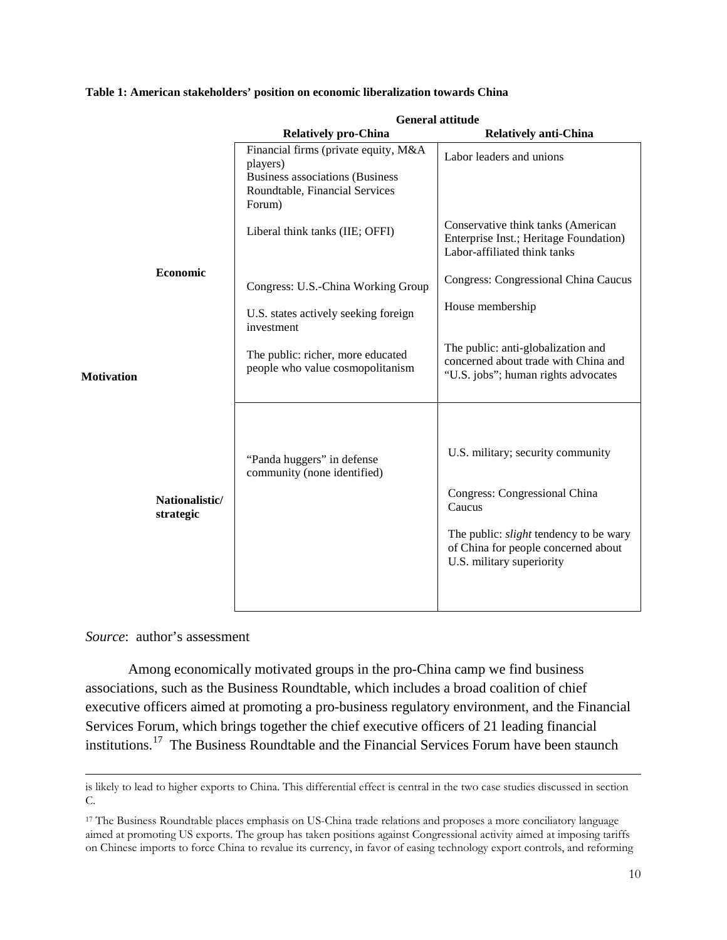#### **Table 1: American stakeholders' position on economic liberalization towards China**

|                   |                             | Otheral attitude<br><b>Relatively pro-China</b>                                                                                        | <b>Relatively anti-China</b>                                                                                      |
|-------------------|-----------------------------|----------------------------------------------------------------------------------------------------------------------------------------|-------------------------------------------------------------------------------------------------------------------|
| <b>Motivation</b> |                             | Financial firms (private equity, M&A<br>players)<br><b>Business associations (Business</b><br>Roundtable, Financial Services<br>Forum) | Labor leaders and unions                                                                                          |
|                   | Economic                    | Liberal think tanks (IIE; OFFI)                                                                                                        | Conservative think tanks (American<br>Enterprise Inst.; Heritage Foundation)<br>Labor-affiliated think tanks      |
|                   |                             | Congress: U.S.-China Working Group                                                                                                     | Congress: Congressional China Caucus                                                                              |
|                   |                             | U.S. states actively seeking foreign<br>investment                                                                                     | House membership                                                                                                  |
|                   |                             | The public: richer, more educated<br>people who value cosmopolitanism                                                                  | The public: anti-globalization and<br>concerned about trade with China and<br>"U.S. jobs"; human rights advocates |
|                   | Nationalistic/<br>strategic |                                                                                                                                        |                                                                                                                   |
|                   |                             | "Panda huggers" in defense<br>community (none identified)                                                                              | U.S. military; security community                                                                                 |
|                   |                             |                                                                                                                                        | Congress: Congressional China<br>Caucus                                                                           |
|                   |                             |                                                                                                                                        | The public: <i>slight</i> tendency to be wary<br>of China for people concerned about<br>U.S. military superiority |
|                   |                             |                                                                                                                                        |                                                                                                                   |

**General attitude**

*Source*: author's assessment

 $\overline{\phantom{a}}$ 

Among economically motivated groups in the pro-China camp we find business associations, such as the Business Roundtable, which includes a broad coalition of chief executive officers aimed at promoting a pro-business regulatory environment, and the Financial Services Forum, which brings together the chief executive officers of 21 leading financial institutions.<sup>[17](#page-9-0)</sup> The Business Roundtable and the Financial Services Forum have been staunch

is likely to lead to higher exports to China. This differential effect is central in the two case studies discussed in section  $C_{\cdot}$ 

<span id="page-9-0"></span><sup>17</sup> The Business Roundtable places emphasis on US-China trade relations and proposes a more conciliatory language aimed at promoting US exports. The group has taken positions against Congressional activity aimed at imposing tariffs on Chinese imports to force China to revalue its currency, in favor of easing technology export controls, and reforming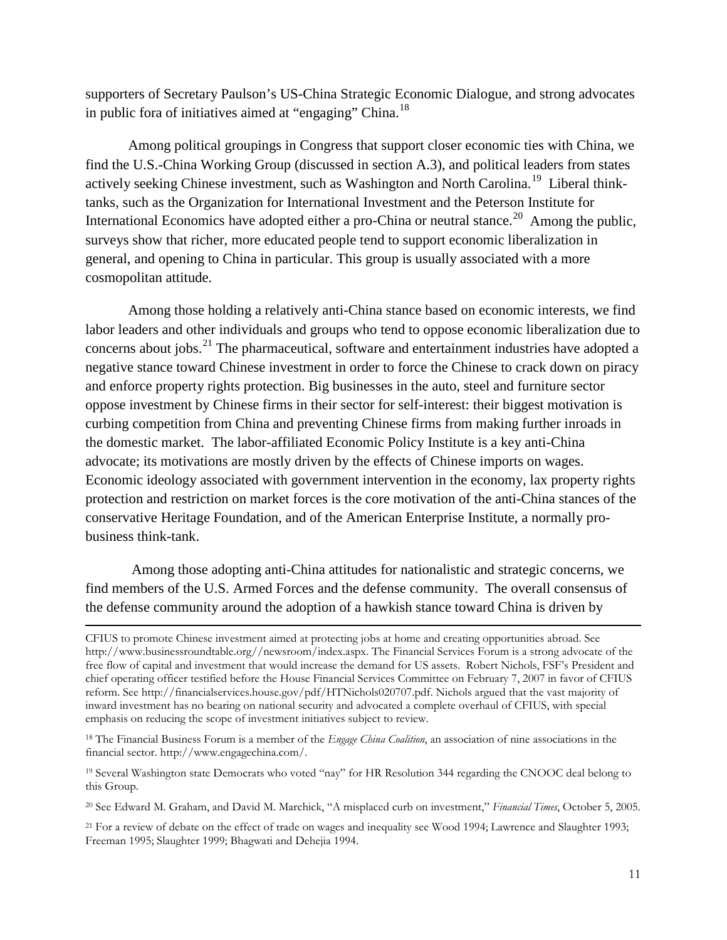supporters of Secretary Paulson's US-China Strategic Economic Dialogue, and strong advocates in public fora of initiatives aimed at "engaging" China.[18](#page-10-0)

Among political groupings in Congress that support closer economic ties with China, we find the U.S.-China Working Group (discussed in section A.3), and political leaders from states actively seeking Chinese investment, such as Washington and North Carolina.<sup>[19](#page-10-1)</sup> Liberal thinktanks, such as the Organization for International Investment and the Peterson Institute for International Economics have adopted either a pro-China or neutral stance.<sup>[20](#page-10-2)</sup> Among the public, surveys show that richer, more educated people tend to support economic liberalization in general, and opening to China in particular. This group is usually associated with a more cosmopolitan attitude.

Among those holding a relatively anti-China stance based on economic interests, we find labor leaders and other individuals and groups who tend to oppose economic liberalization due to concerns about jobs.<sup>[21](#page-10-3)</sup> The pharmaceutical, software and entertainment industries have adopted a negative stance toward Chinese investment in order to force the Chinese to crack down on piracy and enforce property rights protection. Big businesses in the auto, steel and furniture sector oppose investment by Chinese firms in their sector for self-interest: their biggest motivation is curbing competition from China and preventing Chinese firms from making further inroads in the domestic market. The labor-affiliated Economic Policy Institute is a key anti-China advocate; its motivations are mostly driven by the effects of Chinese imports on wages. Economic ideology associated with government intervention in the economy, lax property rights protection and restriction on market forces is the core motivation of the anti-China stances of the conservative Heritage Foundation, and of the American Enterprise Institute, a normally probusiness think-tank.

Among those adopting anti-China attitudes for nationalistic and strategic concerns, we find members of the U.S. Armed Forces and the defense community. The overall consensus of the defense community around the adoption of a hawkish stance toward China is driven by

 $\overline{\phantom{a}}$ 

<span id="page-10-3"></span><sup>21</sup> For a review of debate on the effect of trade on wages and inequality see Wood 1994; Lawrence and Slaughter 1993; Freeman 1995; Slaughter 1999; Bhagwati and Dehejia 1994.

CFIUS to promote Chinese investment aimed at protecting jobs at home and creating opportunities abroad. See http://www.businessroundtable.org//newsroom/index.aspx. The Financial Services Forum is a strong advocate of the free flow of capital and investment that would increase the demand for US assets. Robert Nichols, FSF's President and chief operating officer testified before the House Financial Services Committee on February 7, 2007 in favor of CFIUS reform. See http://financialservices.house.gov/pdf/HTNichols020707.pdf. Nichols argued that the vast majority of inward investment has no bearing on national security and advocated a complete overhaul of CFIUS, with special emphasis on reducing the scope of investment initiatives subject to review.

<span id="page-10-0"></span><sup>18</sup> The Financial Business Forum is a member of the *Engage China Coalition*, an association of nine associations in the financial sector. http://www.engagechina.com/.

<span id="page-10-1"></span><sup>19</sup> Several Washington state Democrats who voted "nay" for HR Resolution 344 regarding the CNOOC deal belong to this Group.

<span id="page-10-2"></span><sup>20</sup> See Edward M. Graham, and David M. Marchick, "A misplaced curb on investment," *Financial Times*, October 5, 2005.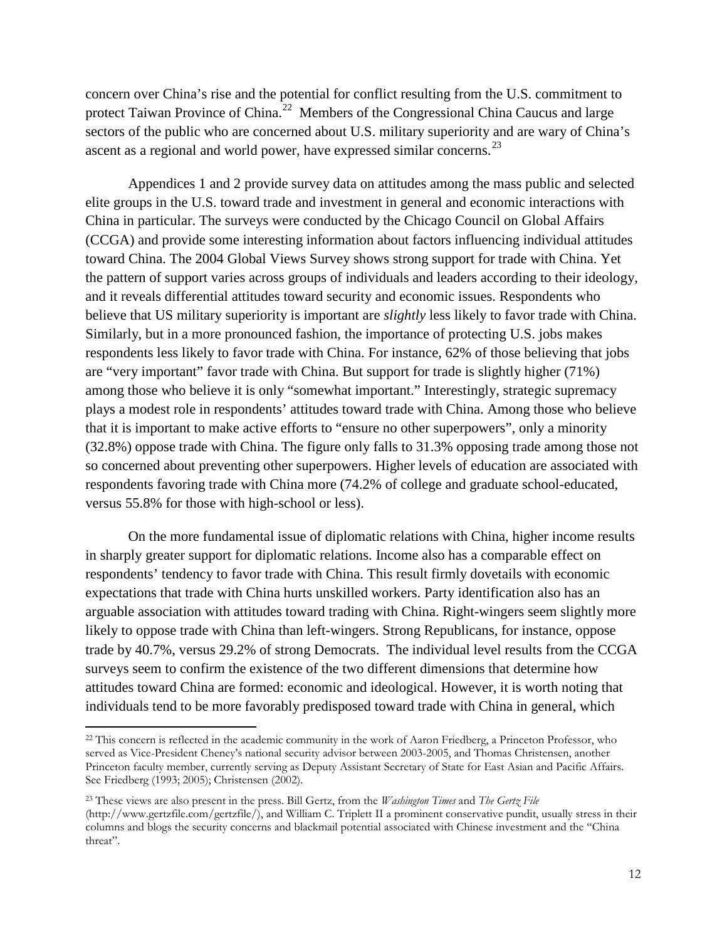concern over China's rise and the potential for conflict resulting from the U.S. commitment to protect Taiwan Province of China.<sup>[22](#page-11-0)</sup> Members of the Congressional China Caucus and large sectors of the public who are concerned about U.S. military superiority and are wary of China's ascent as a regional and world power, have expressed similar concerns.<sup>[23](#page-11-1)</sup>

Appendices 1 and 2 provide survey data on attitudes among the mass public and selected elite groups in the U.S. toward trade and investment in general and economic interactions with China in particular. The surveys were conducted by the Chicago Council on Global Affairs (CCGA) and provide some interesting information about factors influencing individual attitudes toward China. The 2004 Global Views Survey shows strong support for trade with China. Yet the pattern of support varies across groups of individuals and leaders according to their ideology, and it reveals differential attitudes toward security and economic issues. Respondents who believe that US military superiority is important are *slightly* less likely to favor trade with China. Similarly, but in a more pronounced fashion, the importance of protecting U.S. jobs makes respondents less likely to favor trade with China. For instance, 62% of those believing that jobs are "very important" favor trade with China. But support for trade is slightly higher (71%) among those who believe it is only "somewhat important." Interestingly, strategic supremacy plays a modest role in respondents' attitudes toward trade with China. Among those who believe that it is important to make active efforts to "ensure no other superpowers", only a minority (32.8%) oppose trade with China. The figure only falls to 31.3% opposing trade among those not so concerned about preventing other superpowers. Higher levels of education are associated with respondents favoring trade with China more (74.2% of college and graduate school-educated, versus 55.8% for those with high-school or less).

On the more fundamental issue of diplomatic relations with China, higher income results in sharply greater support for diplomatic relations. Income also has a comparable effect on respondents' tendency to favor trade with China. This result firmly dovetails with economic expectations that trade with China hurts unskilled workers. Party identification also has an arguable association with attitudes toward trading with China. Right-wingers seem slightly more likely to oppose trade with China than left-wingers. Strong Republicans, for instance, oppose trade by 40.7%, versus 29.2% of strong Democrats. The individual level results from the CCGA surveys seem to confirm the existence of the two different dimensions that determine how attitudes toward China are formed: economic and ideological. However, it is worth noting that individuals tend to be more favorably predisposed toward trade with China in general, which

<span id="page-11-0"></span><sup>&</sup>lt;sup>22</sup> This concern is reflected in the academic community in the work of Aaron Friedberg, a Princeton Professor, who served as Vice-President Cheney's national security advisor between 2003-2005, and Thomas Christensen, another Princeton faculty member, currently serving as Deputy Assistant Secretary of State for East Asian and Pacific Affairs. See Friedberg (1993; 2005); Christensen (2002).

<span id="page-11-1"></span><sup>23</sup> These views are also present in the press. Bill Gertz, from the *Washington Times* and *The Gertz File* (http://www.gertzfile.com/gertzfile/), and William C. Triplett II a prominent conservative pundit, usually stress in their columns and blogs the security concerns and blackmail potential associated with Chinese investment and the "China threat".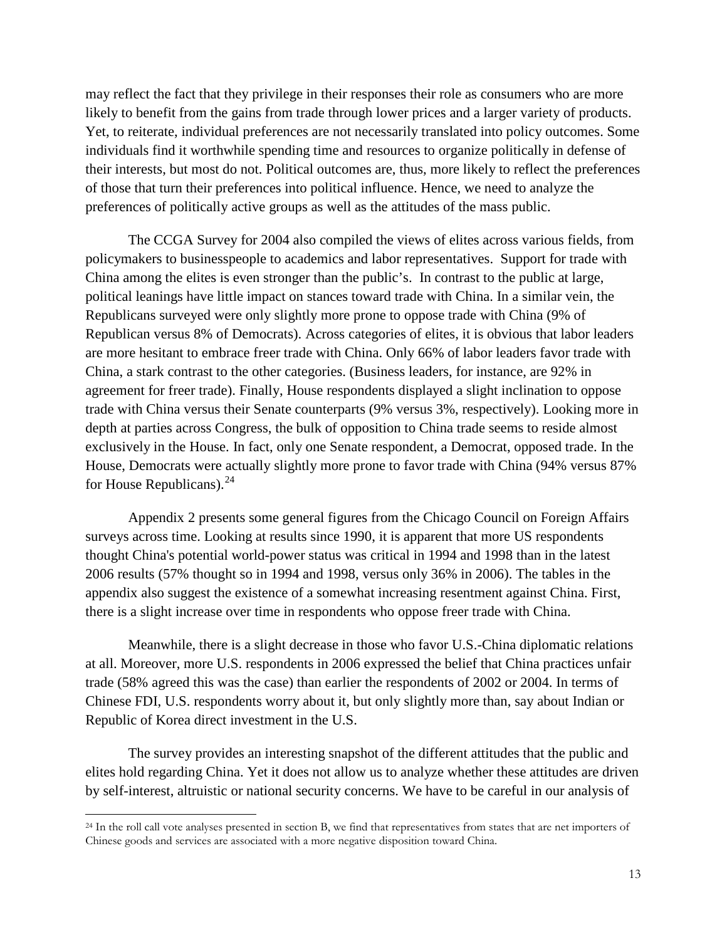may reflect the fact that they privilege in their responses their role as consumers who are more likely to benefit from the gains from trade through lower prices and a larger variety of products. Yet, to reiterate, individual preferences are not necessarily translated into policy outcomes. Some individuals find it worthwhile spending time and resources to organize politically in defense of their interests, but most do not. Political outcomes are, thus, more likely to reflect the preferences of those that turn their preferences into political influence. Hence, we need to analyze the preferences of politically active groups as well as the attitudes of the mass public.

The CCGA Survey for 2004 also compiled the views of elites across various fields, from policymakers to businesspeople to academics and labor representatives. Support for trade with China among the elites is even stronger than the public's. In contrast to the public at large, political leanings have little impact on stances toward trade with China. In a similar vein, the Republicans surveyed were only slightly more prone to oppose trade with China (9% of Republican versus 8% of Democrats). Across categories of elites, it is obvious that labor leaders are more hesitant to embrace freer trade with China. Only 66% of labor leaders favor trade with China, a stark contrast to the other categories. (Business leaders, for instance, are 92% in agreement for freer trade). Finally, House respondents displayed a slight inclination to oppose trade with China versus their Senate counterparts (9% versus 3%, respectively). Looking more in depth at parties across Congress, the bulk of opposition to China trade seems to reside almost exclusively in the House. In fact, only one Senate respondent, a Democrat, opposed trade. In the House, Democrats were actually slightly more prone to favor trade with China (94% versus 87% for House Republicans).  $24$ 

Appendix 2 presents some general figures from the Chicago Council on Foreign Affairs surveys across time. Looking at results since 1990, it is apparent that more US respondents thought China's potential world-power status was critical in 1994 and 1998 than in the latest 2006 results (57% thought so in 1994 and 1998, versus only 36% in 2006). The tables in the appendix also suggest the existence of a somewhat increasing resentment against China. First, there is a slight increase over time in respondents who oppose freer trade with China.

Meanwhile, there is a slight decrease in those who favor U.S.-China diplomatic relations at all. Moreover, more U.S. respondents in 2006 expressed the belief that China practices unfair trade (58% agreed this was the case) than earlier the respondents of 2002 or 2004. In terms of Chinese FDI, U.S. respondents worry about it, but only slightly more than, say about Indian or Republic of Korea direct investment in the U.S.

The survey provides an interesting snapshot of the different attitudes that the public and elites hold regarding China. Yet it does not allow us to analyze whether these attitudes are driven by self-interest, altruistic or national security concerns. We have to be careful in our analysis of

<span id="page-12-0"></span><sup>&</sup>lt;sup>24</sup> In the roll call vote analyses presented in section B, we find that representatives from states that are net importers of Chinese goods and services are associated with a more negative disposition toward China.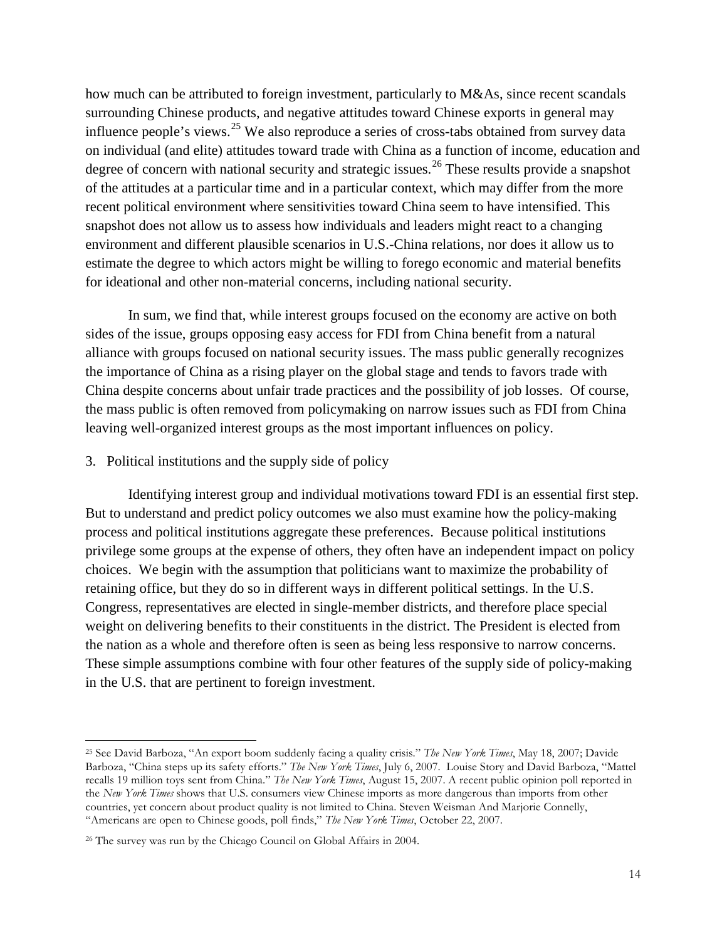how much can be attributed to foreign investment, particularly to M&As, since recent scandals surrounding Chinese products, and negative attitudes toward Chinese exports in general may influence people's views.<sup>[25](#page-13-0)</sup> We also reproduce a series of cross-tabs obtained from survey data on individual (and elite) attitudes toward trade with China as a function of income, education and degree of concern with national security and strategic issues.<sup>[26](#page-13-1)</sup> These results provide a snapshot of the attitudes at a particular time and in a particular context, which may differ from the more recent political environment where sensitivities toward China seem to have intensified. This snapshot does not allow us to assess how individuals and leaders might react to a changing environment and different plausible scenarios in U.S.-China relations, nor does it allow us to estimate the degree to which actors might be willing to forego economic and material benefits for ideational and other non-material concerns, including national security.

In sum, we find that, while interest groups focused on the economy are active on both sides of the issue, groups opposing easy access for FDI from China benefit from a natural alliance with groups focused on national security issues. The mass public generally recognizes the importance of China as a rising player on the global stage and tends to favors trade with China despite concerns about unfair trade practices and the possibility of job losses. Of course, the mass public is often removed from policymaking on narrow issues such as FDI from China leaving well-organized interest groups as the most important influences on policy.

#### 3. Political institutions and the supply side of policy

Identifying interest group and individual motivations toward FDI is an essential first step. But to understand and predict policy outcomes we also must examine how the policy-making process and political institutions aggregate these preferences. Because political institutions privilege some groups at the expense of others, they often have an independent impact on policy choices. We begin with the assumption that politicians want to maximize the probability of retaining office, but they do so in different ways in different political settings. In the U.S. Congress, representatives are elected in single-member districts, and therefore place special weight on delivering benefits to their constituents in the district. The President is elected from the nation as a whole and therefore often is seen as being less responsive to narrow concerns. These simple assumptions combine with four other features of the supply side of policy-making in the U.S. that are pertinent to foreign investment.

<span id="page-13-0"></span><sup>25</sup> See David Barboza, "An export boom suddenly facing a quality crisis." *The New York Times*, May 18, 2007; Davide Barboza, "China steps up its safety efforts." *The New York Times*, July 6, 2007. Louise Story and David Barboza, "Mattel recalls 19 million toys sent from China." *The New York Times*, August 15, 2007. A recent public opinion poll reported in the *New York Times* shows that U.S. consumers view Chinese imports as more dangerous than imports from other countries, yet concern about product quality is not limited to China. Steven Weisman And Marjorie Connelly, "Americans are open to Chinese goods, poll finds," *The New York Times*, October 22, 2007.

<span id="page-13-1"></span><sup>26</sup> The survey was run by the Chicago Council on Global Affairs in 2004.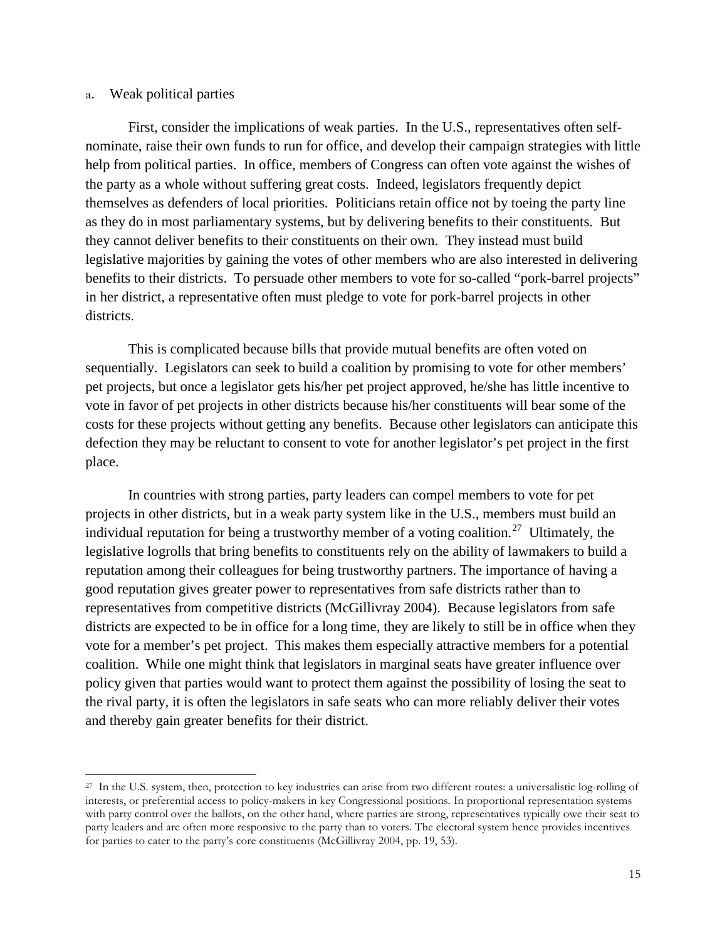#### a. Weak political parties

 $\overline{\phantom{a}}$ 

First, consider the implications of weak parties. In the U.S., representatives often selfnominate, raise their own funds to run for office, and develop their campaign strategies with little help from political parties. In office, members of Congress can often vote against the wishes of the party as a whole without suffering great costs. Indeed, legislators frequently depict themselves as defenders of local priorities. Politicians retain office not by toeing the party line as they do in most parliamentary systems, but by delivering benefits to their constituents. But they cannot deliver benefits to their constituents on their own. They instead must build legislative majorities by gaining the votes of other members who are also interested in delivering benefits to their districts. To persuade other members to vote for so-called "pork-barrel projects" in her district, a representative often must pledge to vote for pork-barrel projects in other districts.

This is complicated because bills that provide mutual benefits are often voted on sequentially. Legislators can seek to build a coalition by promising to vote for other members' pet projects, but once a legislator gets his/her pet project approved, he/she has little incentive to vote in favor of pet projects in other districts because his/her constituents will bear some of the costs for these projects without getting any benefits. Because other legislators can anticipate this defection they may be reluctant to consent to vote for another legislator's pet project in the first place.

In countries with strong parties, party leaders can compel members to vote for pet projects in other districts, but in a weak party system like in the U.S., members must build an individual reputation for being a trustworthy member of a voting coalition.<sup>[27](#page-14-0)</sup> Ultimately, the legislative logrolls that bring benefits to constituents rely on the ability of lawmakers to build a reputation among their colleagues for being trustworthy partners. The importance of having a good reputation gives greater power to representatives from safe districts rather than to representatives from competitive districts (McGillivray 2004). Because legislators from safe districts are expected to be in office for a long time, they are likely to still be in office when they vote for a member's pet project. This makes them especially attractive members for a potential coalition. While one might think that legislators in marginal seats have greater influence over policy given that parties would want to protect them against the possibility of losing the seat to the rival party, it is often the legislators in safe seats who can more reliably deliver their votes and thereby gain greater benefits for their district.

<span id="page-14-0"></span><sup>27</sup> In the U.S. system, then, protection to key industries can arise from two different routes: a universalistic log-rolling of interests, or preferential access to policy-makers in key Congressional positions. In proportional representation systems with party control over the ballots, on the other hand, where parties are strong, representatives typically owe their seat to party leaders and are often more responsive to the party than to voters. The electoral system hence provides incentives for parties to cater to the party's core constituents (McGillivray 2004, pp. 19, 53).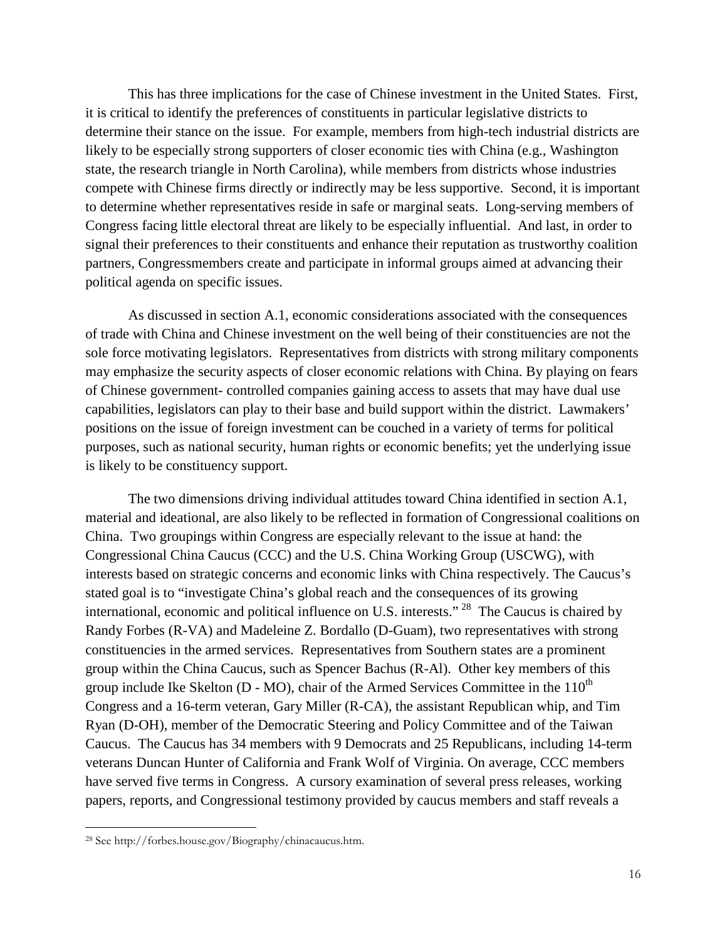This has three implications for the case of Chinese investment in the United States. First, it is critical to identify the preferences of constituents in particular legislative districts to determine their stance on the issue. For example, members from high-tech industrial districts are likely to be especially strong supporters of closer economic ties with China (e.g., Washington state, the research triangle in North Carolina), while members from districts whose industries compete with Chinese firms directly or indirectly may be less supportive. Second, it is important to determine whether representatives reside in safe or marginal seats. Long-serving members of Congress facing little electoral threat are likely to be especially influential. And last, in order to signal their preferences to their constituents and enhance their reputation as trustworthy coalition partners, Congressmembers create and participate in informal groups aimed at advancing their political agenda on specific issues.

As discussed in section A.1, economic considerations associated with the consequences of trade with China and Chinese investment on the well being of their constituencies are not the sole force motivating legislators. Representatives from districts with strong military components may emphasize the security aspects of closer economic relations with China. By playing on fears of Chinese government- controlled companies gaining access to assets that may have dual use capabilities, legislators can play to their base and build support within the district. Lawmakers' positions on the issue of foreign investment can be couched in a variety of terms for political purposes, such as national security, human rights or economic benefits; yet the underlying issue is likely to be constituency support.

The two dimensions driving individual attitudes toward China identified in section A.1, material and ideational, are also likely to be reflected in formation of Congressional coalitions on China. Two groupings within Congress are especially relevant to the issue at hand: the Congressional China Caucus (CCC) and the U.S. China Working Group (USCWG), with interests based on strategic concerns and economic links with China respectively. The Caucus's stated goal is to "investigate China's global reach and the consequences of its growing international, economic and political influence on U.S. interests." <sup>[28](#page-15-0)</sup> The Caucus is chaired by Randy Forbes (R-VA) and Madeleine Z. Bordallo (D-Guam), two representatives with strong constituencies in the armed services. Representatives from Southern states are a prominent group within the China Caucus, such as Spencer Bachus (R-Al). Other key members of this group include Ike Skelton  $(D - MO)$ , chair of the Armed Services Committee in the  $110<sup>th</sup>$ Congress and a 16-term veteran, Gary Miller (R-CA), the assistant Republican whip, and Tim Ryan (D-OH), member of the Democratic Steering and Policy Committee and of the Taiwan Caucus. The Caucus has 34 members with 9 Democrats and 25 Republicans, including 14-term veterans Duncan Hunter of California and Frank Wolf of Virginia. On average, CCC members have served five terms in Congress. A cursory examination of several press releases, working papers, reports, and Congressional testimony provided by caucus members and staff reveals a

<span id="page-15-0"></span><sup>28</sup> See http://forbes.house.gov/Biography/chinacaucus.htm.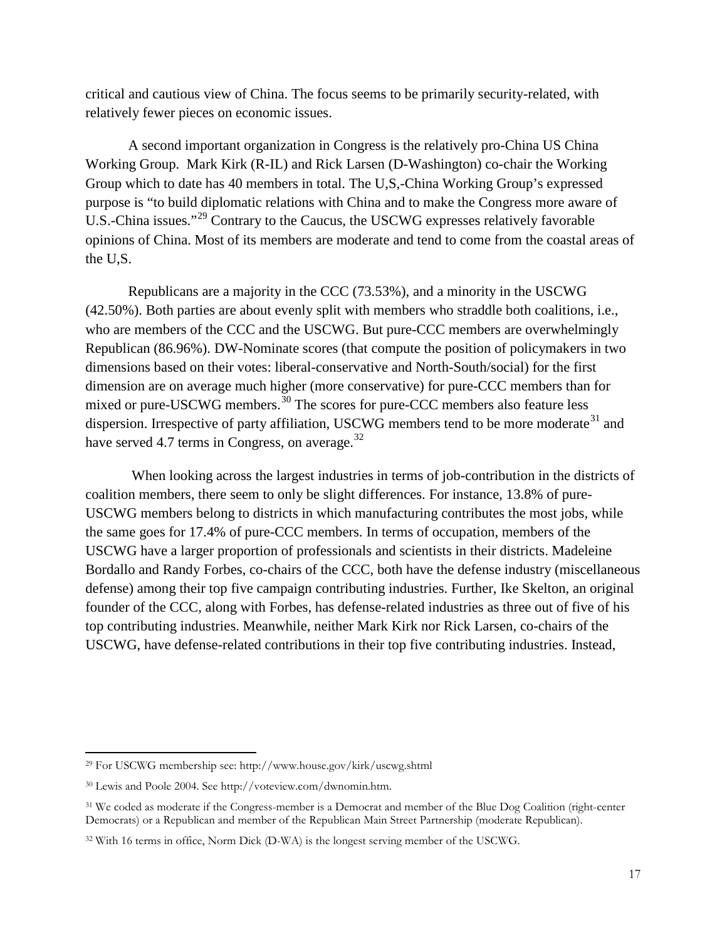critical and cautious view of China. The focus seems to be primarily security-related, with relatively fewer pieces on economic issues.

A second important organization in Congress is the relatively pro-China US China Working Group. Mark Kirk (R-IL) and Rick Larsen (D-Washington) co-chair the Working Group which to date has 40 members in total. The U,S,-China Working Group's expressed purpose is "to build diplomatic relations with China and to make the Congress more aware of U.S.-China issues."<sup>[29](#page-16-0)</sup> Contrary to the Caucus, the USCWG expresses relatively favorable opinions of China. Most of its members are moderate and tend to come from the coastal areas of the U,S.

Republicans are a majority in the CCC (73.53%), and a minority in the USCWG (42.50%). Both parties are about evenly split with members who straddle both coalitions, i.e., who are members of the CCC and the USCWG. But pure-CCC members are overwhelmingly Republican (86.96%). DW-Nominate scores (that compute the position of policymakers in two dimensions based on their votes: liberal-conservative and North-South/social) for the first dimension are on average much higher (more conservative) for pure-CCC members than for mixed or pure-USCWG members.<sup>[30](#page-16-1)</sup> The scores for pure-CCC members also feature less dispersion. Irrespective of party affiliation, USCWG members tend to be more moderate<sup>[31](#page-16-2)</sup> and have served 4.7 terms in Congress, on average. $32$ 

<span id="page-16-4"></span>When looking across the largest industries in terms of job-contribution in the districts of coalition members, there seem to only be slight differences. For instance, 13.8% of pure-USCWG members belong to districts in which manufacturing contributes the most jobs, while the same goes for 17.4% of pure-CCC members. In terms of occupation, members of the USCWG have a larger proportion of professionals and scientists in their districts. Madeleine Bordallo and Randy Forbes, co-chairs of the CCC, both have the defense industry (miscellaneous defense) among their top five campaign contributing industries. Further, Ike Skelton, an original founder of the CCC, along with Forbes, has defense-related industries as three out of five of his top contributing industries. Meanwhile, neither Mark Kirk nor Rick Larsen, co-chairs of the USCWG, have defense-related contributions in their top five contributing industries. Instead,

<span id="page-16-0"></span><sup>29</sup> For USCWG membership see: http://www.house.gov/kirk/uscwg.shtml

<span id="page-16-1"></span><sup>30</sup> Lewis and Poole 2004. See http://voteview.com/dwnomin.htm.

<span id="page-16-2"></span><sup>31</sup> We coded as moderate if the Congress-member is a Democrat and member of the Blue Dog Coalition (right-center Democrats) or a Republican and member of the Republican Main Street Partnership (moderate Republican).

<span id="page-16-3"></span><sup>32</sup> With 16 terms in office, Norm Dick (D-WA) is the longest serving member of the USCWG.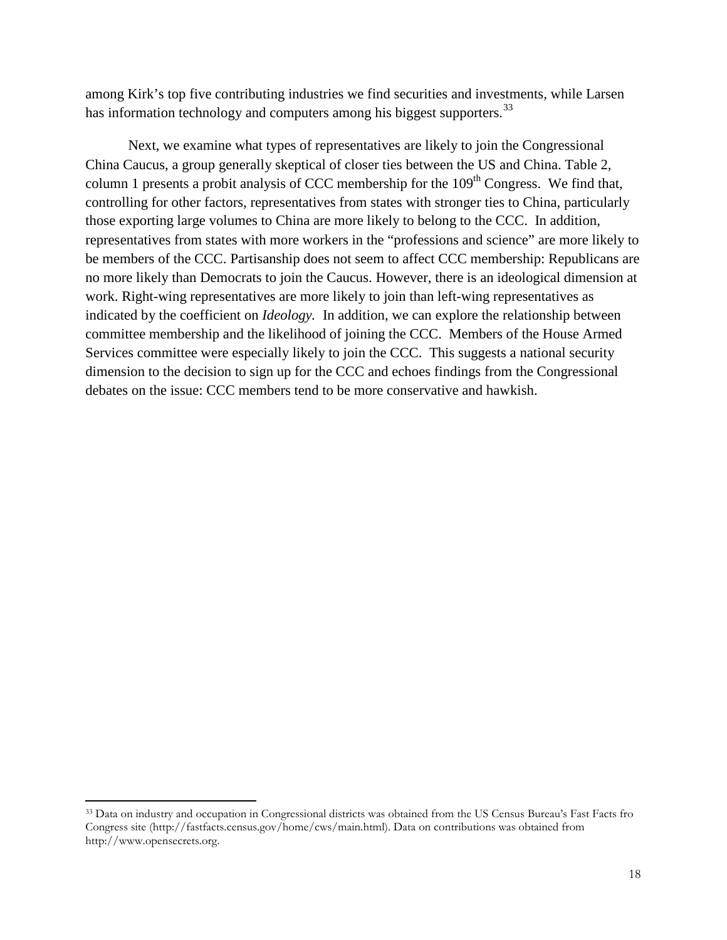among Kirk's top five contributing industries we find securities and investments, while Larsen has information technology and computers among his biggest supporters.<sup>[33](#page-17-0)</sup>

Next, we examine what types of representatives are likely to join the Congressional China Caucus, a group generally skeptical of closer ties between the US and China. Table 2, column 1 presents a probit analysis of CCC membership for the 109<sup>th</sup> Congress. We find that, controlling for other factors, representatives from states with stronger ties to China, particularly those exporting large volumes to China are more likely to belong to the CCC. In addition, representatives from states with more workers in the "professions and science" are more likely to be members of the CCC. Partisanship does not seem to affect CCC membership: Republicans are no more likely than Democrats to join the Caucus. However, there is an ideological dimension at work. Right-wing representatives are more likely to join than left-wing representatives as indicated by the coefficient on *Ideology.* In addition, we can explore the relationship between committee membership and the likelihood of joining the CCC. Members of the House Armed Services committee were especially likely to join the CCC. This suggests a national security dimension to the decision to sign up for the CCC and echoes findings from the Congressional debates on the issue: CCC members tend to be more conservative and hawkish.

<span id="page-17-0"></span><sup>33</sup> Data on industry and occupation in Congressional districts was obtained from the US Census Bureau's Fast Facts fro Congress site (http://fastfacts.census.gov/home/cws/main.html). Data on contributions was obtained from http://www.opensecrets.org.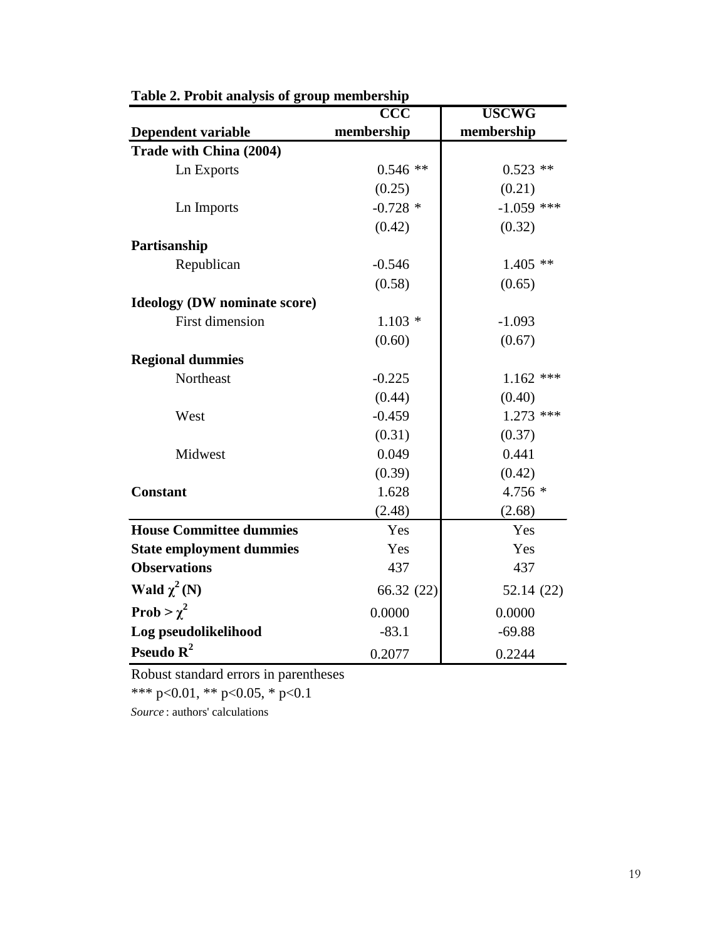|                                     | $\overline{CCC}$ | <b>USCWG</b> |
|-------------------------------------|------------------|--------------|
| <b>Dependent variable</b>           | membership       | membership   |
| Trade with China (2004)             |                  |              |
| Ln Exports                          | $0.546**$        | $0.523$ **   |
|                                     | (0.25)           | (0.21)       |
| Ln Imports                          | $-0.728$ *       | $-1.059$ *** |
|                                     | (0.42)           | (0.32)       |
| Partisanship                        |                  |              |
| Republican                          | $-0.546$         | $1.405$ **   |
|                                     | (0.58)           | (0.65)       |
| <b>Ideology (DW nominate score)</b> |                  |              |
| First dimension                     | $1.103*$         | $-1.093$     |
|                                     | (0.60)           | (0.67)       |
| <b>Regional dummies</b>             |                  |              |
| Northeast                           | $-0.225$         | $1.162$ ***  |
|                                     | (0.44)           | (0.40)       |
| West                                | $-0.459$         | $1.273$ ***  |
|                                     | (0.31)           | (0.37)       |
| Midwest                             | 0.049            | 0.441        |
|                                     | (0.39)           | (0.42)       |
| <b>Constant</b>                     | 1.628            | 4.756 *      |
|                                     | (2.48)           | (2.68)       |
| <b>House Committee dummies</b>      | Yes              | Yes          |
| <b>State employment dummies</b>     | Yes              | Yes          |
| <b>Observations</b>                 | 437              | 437          |
| Wald $\chi^2(N)$                    | 66.32 (22)       | 52.14 (22)   |
| Prob > $\chi^2$                     | 0.0000           | 0.0000       |
| Log pseudolikelihood                | $-83.1$          | $-69.88$     |
| Pseudo $R^2$                        | 0.2077           | 0.2244       |

**Table 2. Probit analysis of group membership**

Robust standard errors in parentheses

\*\*\* p<0.01, \*\* p<0.05, \* p<0.1

*Source* : authors' calculations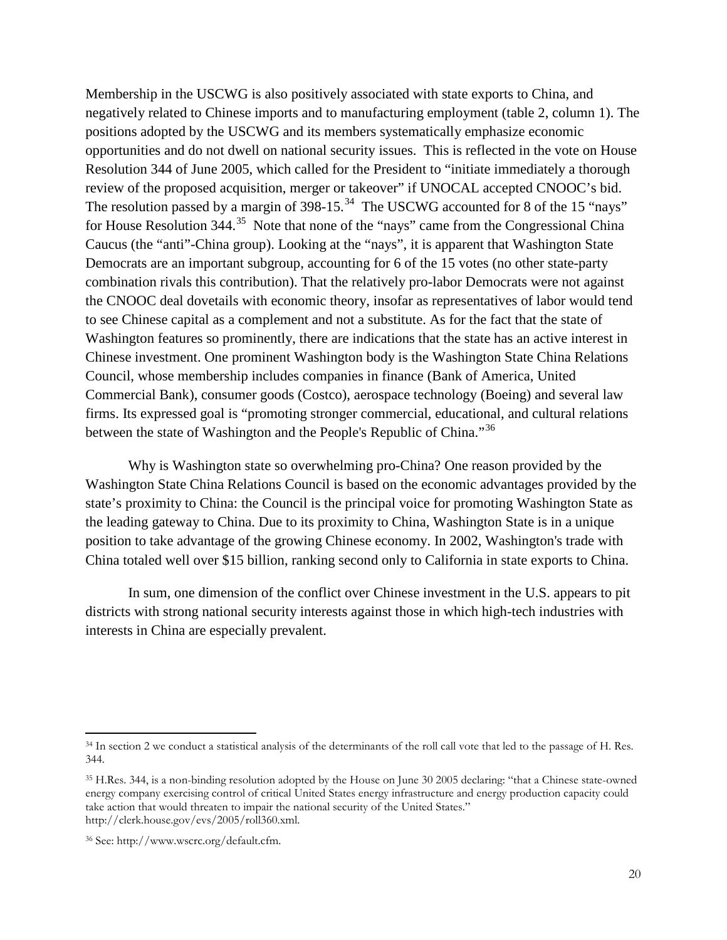Membership in the USCWG is also positively associated with state exports to China, and negatively related to Chinese imports and to manufacturing employment (table 2, column 1). The positions adopted by the USCWG and its members systematically emphasize economic opportunities and do not dwell on national security issues. This is reflected in the vote on House Resolution 344 of June 2005, which called for the President to "initiate immediately a thorough review of the proposed acquisition, merger or takeover" if UNOCAL accepted CNOOC's bid. The resolution passed by a margin of  $398-15.^{34}$  The USCWG accounted for 8 of the 15 "nays" for House Resolution 344.<sup>[35](#page-19-1)</sup> Note that none of the "nays" came from the Congressional China Caucus (the "anti"-China group). Looking at the "nays", it is apparent that Washington State Democrats are an important subgroup, accounting for 6 of the 15 votes (no other state-party combination rivals this contribution). That the relatively pro-labor Democrats were not against the CNOOC deal dovetails with economic theory, insofar as representatives of labor would tend to see Chinese capital as a complement and not a substitute. As for the fact that the state of Washington features so prominently, there are indications that the state has an active interest in Chinese investment. One prominent Washington body is the Washington State China Relations Council, whose membership includes companies in finance (Bank of America, United Commercial Bank), consumer goods (Costco), aerospace technology (Boeing) and several law firms. Its expressed goal is "promoting stronger commercial, educational, and cultural relations between the state of Washington and the People's Republic of China."[36](#page-19-2)

Why is Washington state so overwhelming pro-China? One reason provided by the Washington State China Relations Council is based on the economic advantages provided by the state's proximity to China: the Council is the principal voice for promoting Washington State as the leading gateway to China. Due to its proximity to China, Washington State is in a unique position to take advantage of the growing Chinese economy. In 2002, Washington's trade with China totaled well over \$15 billion, ranking second only to California in state exports to China.

In sum, one dimension of the conflict over Chinese investment in the U.S. appears to pit districts with strong national security interests against those in which high-tech industries with interests in China are especially prevalent.

<span id="page-19-0"></span><sup>&</sup>lt;sup>34</sup> In section 2 we conduct a statistical analysis of the determinants of the roll call vote that led to the passage of H. Res. 344.

<span id="page-19-1"></span><sup>35</sup> H.Res. 344, is a non-binding resolution adopted by the House on June 30 2005 declaring: "that a Chinese state-owned energy company exercising control of critical United States energy infrastructure and energy production capacity could take action that would threaten to impair the national security of the United States." http://clerk.house.gov/evs/2005/roll360.xml.

<span id="page-19-2"></span><sup>36</sup> See: http://www.wscrc.org/default.cfm.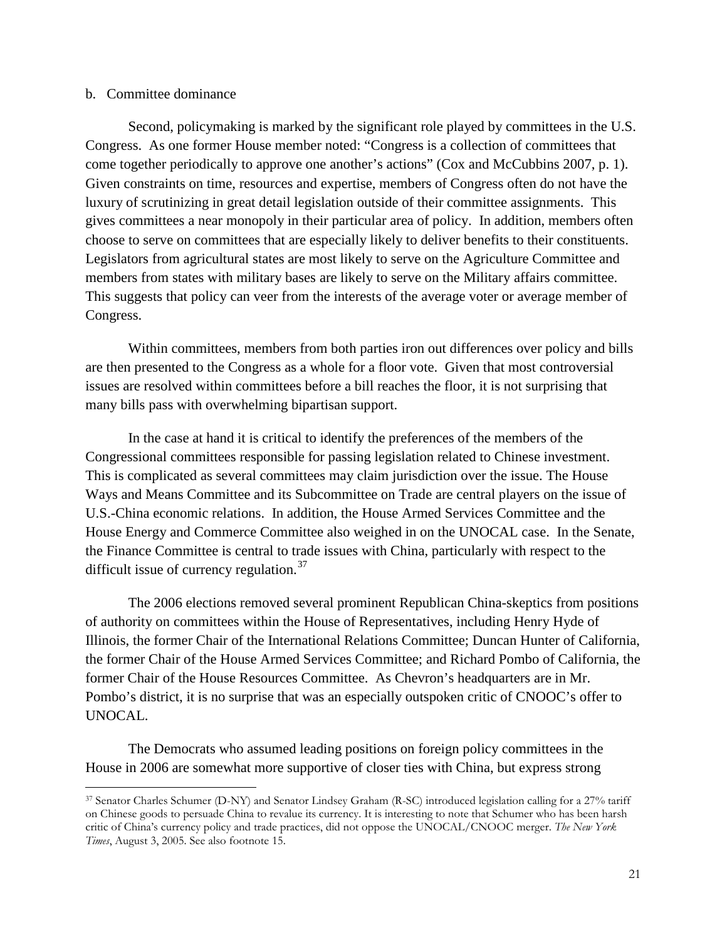## b. Committee dominance

 $\overline{\phantom{a}}$ 

Second, policymaking is marked by the significant role played by committees in the U.S. Congress. As one former House member noted: "Congress is a collection of committees that come together periodically to approve one another's actions" (Cox and McCubbins 2007, p. 1). Given constraints on time, resources and expertise, members of Congress often do not have the luxury of scrutinizing in great detail legislation outside of their committee assignments. This gives committees a near monopoly in their particular area of policy. In addition, members often choose to serve on committees that are especially likely to deliver benefits to their constituents. Legislators from agricultural states are most likely to serve on the Agriculture Committee and members from states with military bases are likely to serve on the Military affairs committee. This suggests that policy can veer from the interests of the average voter or average member of Congress.

Within committees, members from both parties iron out differences over policy and bills are then presented to the Congress as a whole for a floor vote. Given that most controversial issues are resolved within committees before a bill reaches the floor, it is not surprising that many bills pass with overwhelming bipartisan support.

In the case at hand it is critical to identify the preferences of the members of the Congressional committees responsible for passing legislation related to Chinese investment. This is complicated as several committees may claim jurisdiction over the issue. The House Ways and Means Committee and its Subcommittee on Trade are central players on the issue of U.S.-China economic relations. In addition, the House Armed Services Committee and the House Energy and Commerce Committee also weighed in on the UNOCAL case. In the Senate, the Finance Committee is central to trade issues with China, particularly with respect to the difficult issue of currency regulation.<sup>[37](#page-20-0)</sup>

The 2006 elections removed several prominent Republican China-skeptics from positions of authority on committees within the House of Representatives, including Henry Hyde of Illinois, the former Chair of the International Relations Committee; Duncan Hunter of California, the former Chair of the House Armed Services Committee; and Richard Pombo of California, the former Chair of the House Resources Committee. As Chevron's headquarters are in Mr. Pombo's district, it is no surprise that was an especially outspoken critic of CNOOC's offer to UNOCAL.

The Democrats who assumed leading positions on foreign policy committees in the House in 2006 are somewhat more supportive of closer ties with China, but express strong

<span id="page-20-0"></span><sup>37</sup> Senator Charles Schumer (D-NY) and Senator Lindsey Graham (R-SC) introduced legislation calling for a 27% tariff on Chinese goods to persuade China to revalue its currency. It is interesting to note that Schumer who has been harsh critic of China's currency policy and trade practices, did not oppose the UNOCAL/CNOOC merger. *The New York Times*, August 3, 2005. See also footnote [15.](#page-8-3)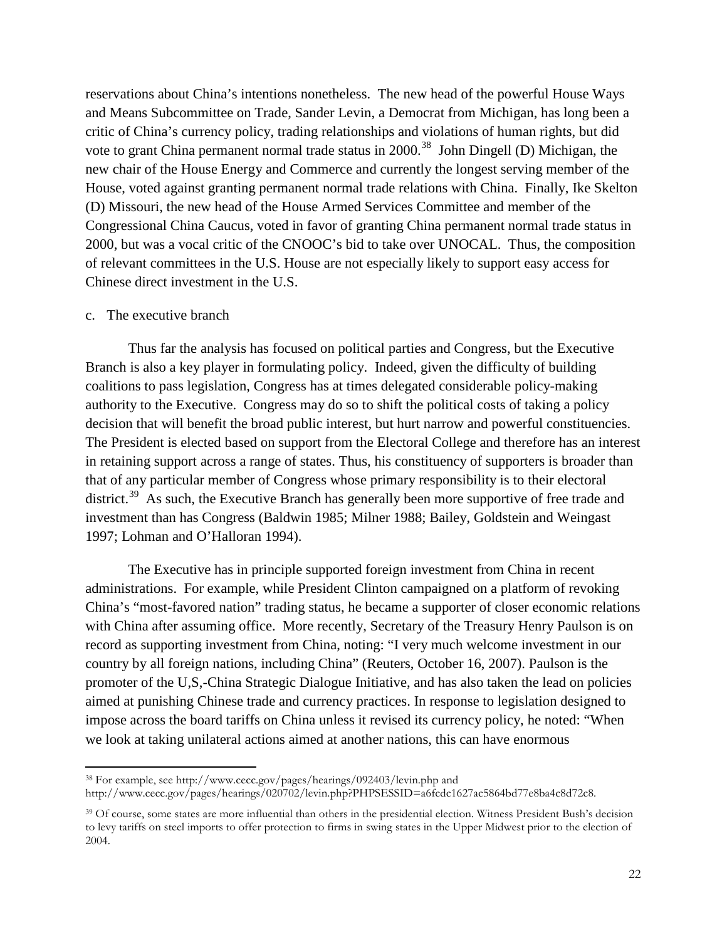reservations about China's intentions nonetheless. The new head of the powerful House Ways and Means Subcommittee on Trade, Sander Levin, a Democrat from Michigan, has long been a critic of China's currency policy, trading relationships and violations of human rights, but did vote to grant China permanent normal trade status in 2000.<sup>[38](#page-21-0)</sup> John Dingell (D) Michigan, the new chair of the House Energy and Commerce and currently the longest serving member of the House, voted against granting permanent normal trade relations with China. Finally, Ike Skelton (D) Missouri, the new head of the House Armed Services Committee and member of the Congressional China Caucus, voted in favor of granting China permanent normal trade status in 2000, but was a vocal critic of the CNOOC's bid to take over UNOCAL. Thus, the composition of relevant committees in the U.S. House are not especially likely to support easy access for Chinese direct investment in the U.S.

# c. The executive branch

 $\overline{\phantom{a}}$ 

Thus far the analysis has focused on political parties and Congress, but the Executive Branch is also a key player in formulating policy. Indeed, given the difficulty of building coalitions to pass legislation, Congress has at times delegated considerable policy-making authority to the Executive. Congress may do so to shift the political costs of taking a policy decision that will benefit the broad public interest, but hurt narrow and powerful constituencies. The President is elected based on support from the Electoral College and therefore has an interest in retaining support across a range of states. Thus, his constituency of supporters is broader than that of any particular member of Congress whose primary responsibility is to their electoral district.<sup>[39](#page-21-1)</sup> As such, the Executive Branch has generally been more supportive of free trade and investment than has Congress (Baldwin 1985; Milner 1988; Bailey, Goldstein and Weingast 1997; Lohman and O'Halloran 1994).

The Executive has in principle supported foreign investment from China in recent administrations. For example, while President Clinton campaigned on a platform of revoking China's "most-favored nation" trading status, he became a supporter of closer economic relations with China after assuming office. More recently, Secretary of the Treasury Henry Paulson is on record as supporting investment from China, noting: "I very much welcome investment in our country by all foreign nations, including China" (Reuters, October 16, 2007). Paulson is the promoter of the U,S,-China Strategic Dialogue Initiative, and has also taken the lead on policies aimed at punishing Chinese trade and currency practices. In response to legislation designed to impose across the board tariffs on China unless it revised its currency policy, he noted: "When we look at taking unilateral actions aimed at another nations, this can have enormous

<span id="page-21-0"></span><sup>38</sup> For example, see http://www.cecc.gov/pages/hearings/092403/levin.php and http://www.cecc.gov/pages/hearings/020702/levin.php?PHPSESSID=a6fcdc1627ac5864bd77e8ba4c8d72c8.

<span id="page-21-1"></span><sup>39</sup> Of course, some states are more influential than others in the presidential election. Witness President Bush's decision to levy tariffs on steel imports to offer protection to firms in swing states in the Upper Midwest prior to the election of 2004.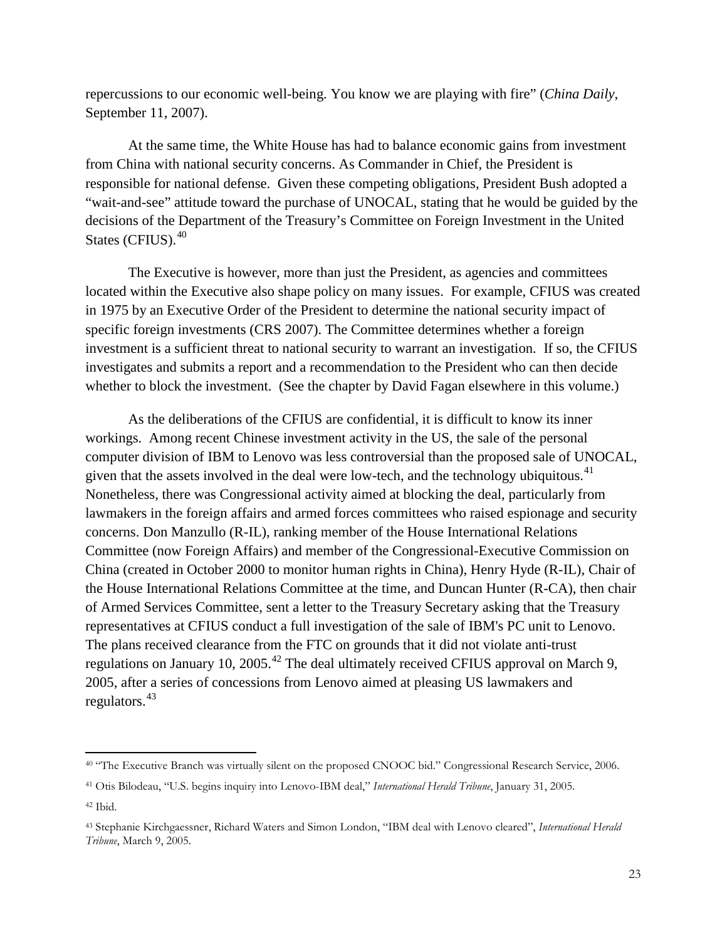repercussions to our economic well-being. You know we are playing with fire" (*China Daily*, September 11, 2007).

At the same time, the White House has had to balance economic gains from investment from China with national security concerns. As Commander in Chief, the President is responsible for national defense. Given these competing obligations, President Bush adopted a "wait-and-see" attitude toward the purchase of UNOCAL, stating that he would be guided by the decisions of the Department of the Treasury's Committee on Foreign Investment in the United States (CFIUS). $40$ 

The Executive is however, more than just the President, as agencies and committees located within the Executive also shape policy on many issues. For example, CFIUS was created in 1975 by an Executive Order of the President to determine the national security impact of specific foreign investments (CRS 2007). The Committee determines whether a foreign investment is a sufficient threat to national security to warrant an investigation. If so, the CFIUS investigates and submits a report and a recommendation to the President who can then decide whether to block the investment. (See the chapter by David Fagan elsewhere in this volume.)

As the deliberations of the CFIUS are confidential, it is difficult to know its inner workings. Among recent Chinese investment activity in the US, the sale of the personal computer division of IBM to Lenovo was less controversial than the proposed sale of UNOCAL, given that the assets involved in the deal were low-tech, and the technology ubiquitous.<sup>[41](#page-22-1)</sup> Nonetheless, there was Congressional activity aimed at blocking the deal, particularly from lawmakers in the foreign affairs and armed forces committees who raised espionage and security concerns. Don Manzullo (R-IL), ranking member of the House International Relations Committee (now Foreign Affairs) and member of the Congressional-Executive Commission on China (created in October 2000 to monitor human rights in China), Henry Hyde (R-IL), Chair of the House International Relations Committee at the time, and Duncan Hunter (R-CA), then chair of Armed Services Committee, sent a letter to the Treasury Secretary asking that the Treasury representatives at CFIUS conduct a full investigation of the sale of IBM's PC unit to Lenovo. The plans received clearance from the FTC on grounds that it did not violate anti-trust regulations on January 10, 2005.<sup>[42](#page-22-2)</sup> The deal ultimately received CFIUS approval on March 9, 2005, after a series of concessions from Lenovo aimed at pleasing US lawmakers and regulators.<sup>[43](#page-22-3)</sup>

<span id="page-22-0"></span><sup>40</sup> "The Executive Branch was virtually silent on the proposed CNOOC bid." Congressional Research Service, 2006.

<span id="page-22-1"></span><sup>41</sup> Otis Bilodeau, "U.S. begins inquiry into Lenovo-IBM deal," *International Herald Tribune*, January 31, 2005.

<span id="page-22-2"></span> $42$  Ibid.

<span id="page-22-3"></span><sup>43</sup> Stephanie Kirchgaessner, Richard Waters and Simon London, "IBM deal with Lenovo cleared", *International Herald Tribune*, March 9, 2005.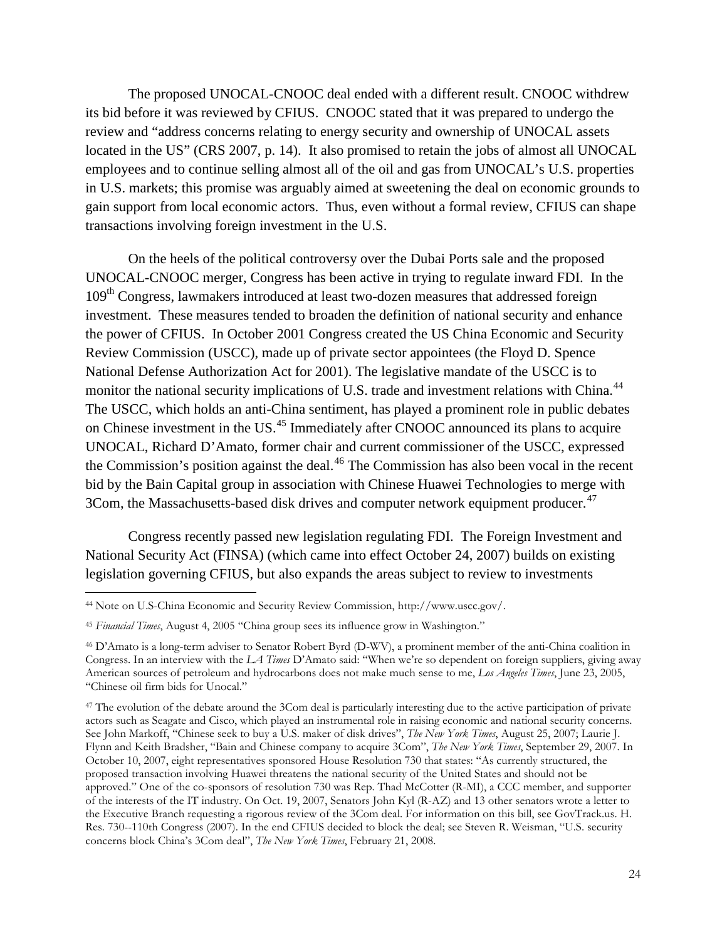The proposed UNOCAL-CNOOC deal ended with a different result. CNOOC withdrew its bid before it was reviewed by CFIUS. CNOOC stated that it was prepared to undergo the review and "address concerns relating to energy security and ownership of UNOCAL assets located in the US" (CRS 2007, p. 14). It also promised to retain the jobs of almost all UNOCAL employees and to continue selling almost all of the oil and gas from UNOCAL's U.S. properties in U.S. markets; this promise was arguably aimed at sweetening the deal on economic grounds to gain support from local economic actors. Thus, even without a formal review, CFIUS can shape transactions involving foreign investment in the U.S.

On the heels of the political controversy over the Dubai Ports sale and the proposed UNOCAL-CNOOC merger, Congress has been active in trying to regulate inward FDI. In the 109<sup>th</sup> Congress, lawmakers introduced at least two-dozen measures that addressed foreign investment. These measures tended to broaden the definition of national security and enhance the power of CFIUS. In October 2001 Congress created the US China Economic and Security Review Commission (USCC), made up of private sector appointees (the Floyd D. Spence National Defense Authorization Act for 2001). The legislative mandate of the USCC is to monitor the national security implications of U.S. trade and investment relations with China.<sup>[44](#page-23-0)</sup> The USCC, which holds an anti-China sentiment, has played a prominent role in public debates on Chinese investment in the US.<sup>[45](#page-23-1)</sup> Immediately after CNOOC announced its plans to acquire UNOCAL, Richard D'Amato, former chair and current commissioner of the USCC, expressed the Commission's position against the deal.<sup>[46](#page-23-2)</sup> The Commission has also been vocal in the recent bid by the Bain Capital group in association with Chinese Huawei Technologies to merge with 3Com, the Massachusetts-based disk drives and computer network equipment producer.<sup>[47](#page-23-3)</sup>

Congress recently passed new legislation regulating FDI. The Foreign Investment and National Security Act (FINSA) (which came into effect October 24, 2007) builds on existing legislation governing CFIUS, but also expands the areas subject to review to investments

<span id="page-23-0"></span><sup>44</sup> Note on U.S-China Economic and Security Review Commission, http://www.uscc.gov/.

<span id="page-23-1"></span><sup>45</sup> *Financial Times*, August 4, 2005 "China group sees its influence grow in Washington."

<span id="page-23-2"></span><sup>46</sup> D'Amato is a long-term adviser to Senator Robert Byrd (D-WV), a prominent member of the anti-China coalition in Congress. In an interview with the *LA Times* D'Amato said: "When we're so dependent on foreign suppliers, giving away American sources of petroleum and hydrocarbons does not make much sense to me, *Los Angeles Times*, June 23, 2005, "Chinese oil firm bids for Unocal."

<span id="page-23-3"></span><sup>47</sup> The evolution of the debate around the 3Com deal is particularly interesting due to the active participation of private actors such as Seagate and Cisco, which played an instrumental role in raising economic and national security concerns. See John Markoff, "Chinese seek to buy a U.S. maker of disk drives", *The New York Times*, August 25, 2007; Laurie J. Flynn and Keith Bradsher, "Bain and Chinese company to acquire 3Com", *The New York Times*, September 29, 2007. In October 10, 2007, eight representatives sponsored House Resolution 730 that states: "As currently structured, the proposed transaction involving Huawei threatens the national security of the United States and should not be approved." One of the co-sponsors of resolution 730 was Rep. Thad McCotter (R-MI), a CCC member, and supporter of the interests of the IT industry. On Oct. 19, 2007, Senators John Kyl (R-AZ) and 13 other senators wrote a letter to the Executive Branch requesting a rigorous review of the 3Com deal. For information on this bill, see GovTrack.us. H. Res. 730--110th Congress (2007). In the end CFIUS decided to block the deal; see Steven R. Weisman, "U.S. security concerns block China's 3Com deal", *The New York Times*, February 21, 2008.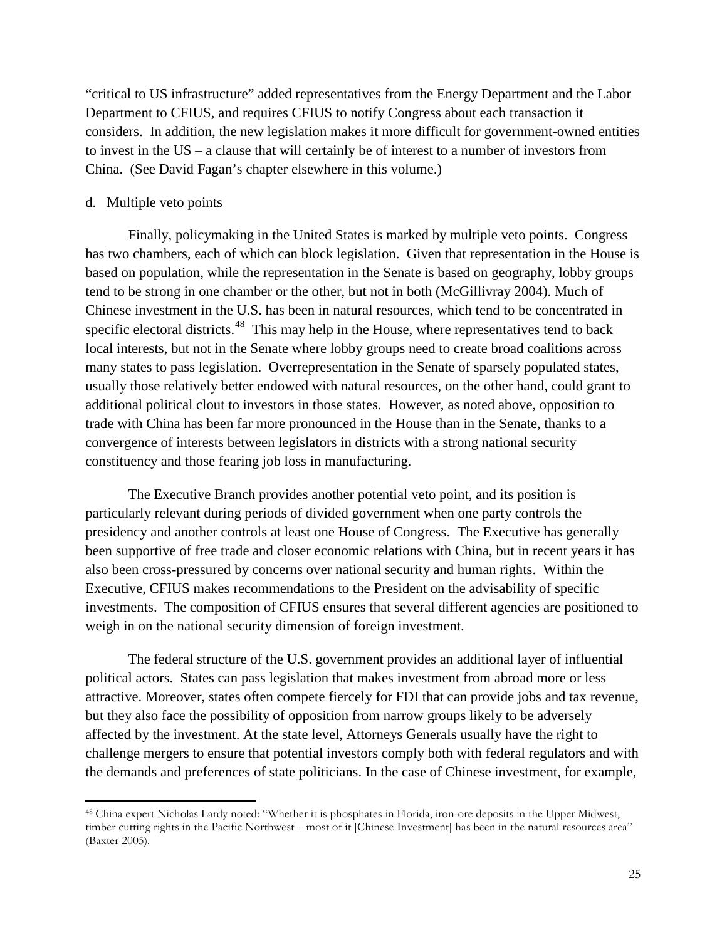"critical to US infrastructure" added representatives from the Energy Department and the Labor Department to CFIUS, and requires CFIUS to notify Congress about each transaction it considers. In addition, the new legislation makes it more difficult for government-owned entities to invest in the US – a clause that will certainly be of interest to a number of investors from China. (See David Fagan's chapter elsewhere in this volume.)

# d. Multiple veto points

 $\overline{\phantom{a}}$ 

Finally, policymaking in the United States is marked by multiple veto points. Congress has two chambers, each of which can block legislation. Given that representation in the House is based on population, while the representation in the Senate is based on geography, lobby groups tend to be strong in one chamber or the other, but not in both (McGillivray 2004). Much of Chinese investment in the U.S. has been in natural resources, which tend to be concentrated in specific electoral districts.<sup>[48](#page-24-0)</sup> This may help in the House, where representatives tend to back local interests, but not in the Senate where lobby groups need to create broad coalitions across many states to pass legislation. Overrepresentation in the Senate of sparsely populated states, usually those relatively better endowed with natural resources, on the other hand, could grant to additional political clout to investors in those states. However, as noted above, opposition to trade with China has been far more pronounced in the House than in the Senate, thanks to a convergence of interests between legislators in districts with a strong national security constituency and those fearing job loss in manufacturing.

The Executive Branch provides another potential veto point, and its position is particularly relevant during periods of divided government when one party controls the presidency and another controls at least one House of Congress. The Executive has generally been supportive of free trade and closer economic relations with China, but in recent years it has also been cross-pressured by concerns over national security and human rights. Within the Executive, CFIUS makes recommendations to the President on the advisability of specific investments. The composition of CFIUS ensures that several different agencies are positioned to weigh in on the national security dimension of foreign investment.

The federal structure of the U.S. government provides an additional layer of influential political actors. States can pass legislation that makes investment from abroad more or less attractive. Moreover, states often compete fiercely for FDI that can provide jobs and tax revenue, but they also face the possibility of opposition from narrow groups likely to be adversely affected by the investment. At the state level, Attorneys Generals usually have the right to challenge mergers to ensure that potential investors comply both with federal regulators and with the demands and preferences of state politicians. In the case of Chinese investment, for example,

<span id="page-24-0"></span><sup>48</sup> China expert Nicholas Lardy noted: "Whether it is phosphates in Florida, iron-ore deposits in the Upper Midwest, timber cutting rights in the Pacific Northwest – most of it [Chinese Investment] has been in the natural resources area" (Baxter 2005).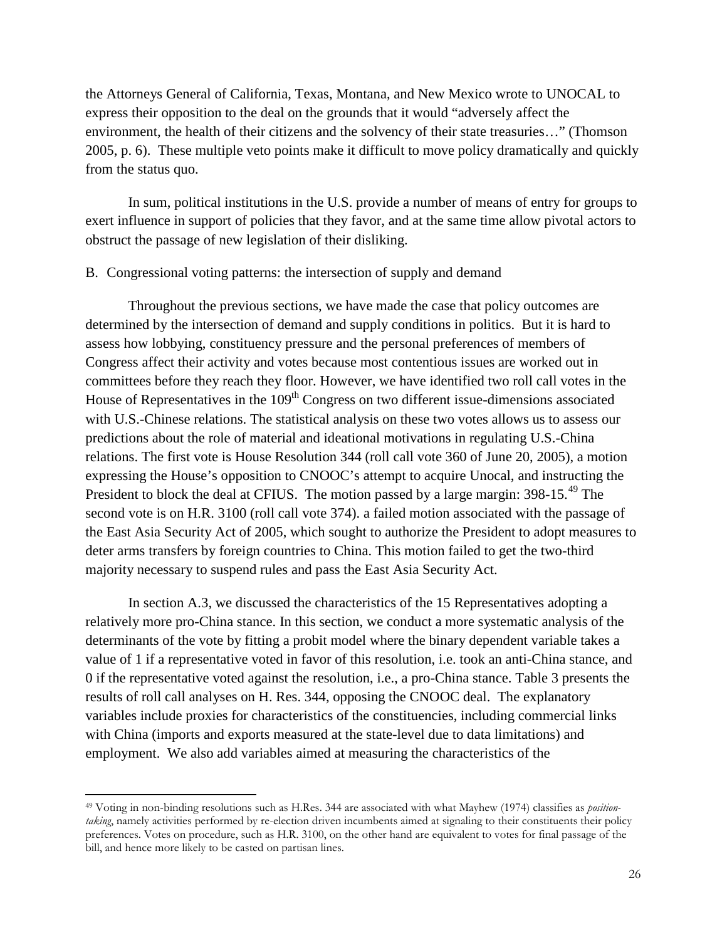the Attorneys General of California, Texas, Montana, and New Mexico wrote to UNOCAL to express their opposition to the deal on the grounds that it would "adversely affect the environment, the health of their citizens and the solvency of their state treasuries…" (Thomson 2005, p. 6). These multiple veto points make it difficult to move policy dramatically and quickly from the status quo.

In sum, political institutions in the U.S. provide a number of means of entry for groups to exert influence in support of policies that they favor, and at the same time allow pivotal actors to obstruct the passage of new legislation of their disliking.

#### B. Congressional voting patterns: the intersection of supply and demand

Throughout the previous sections, we have made the case that policy outcomes are determined by the intersection of demand and supply conditions in politics. But it is hard to assess how lobbying, constituency pressure and the personal preferences of members of Congress affect their activity and votes because most contentious issues are worked out in committees before they reach they floor. However, we have identified two roll call votes in the House of Representatives in the  $109<sup>th</sup>$  Congress on two different issue-dimensions associated with U.S.-Chinese relations. The statistical analysis on these two votes allows us to assess our predictions about the role of material and ideational motivations in regulating U.S.-China relations. The first vote is House Resolution 344 (roll call vote 360 of June 20, 2005), a motion expressing the House's opposition to CNOOC's attempt to acquire Unocal, and instructing the President to block the deal at CFIUS. The motion passed by a large margin: 398-15.<sup>[49](#page-25-0)</sup> The second vote is on H.R. 3100 (roll call vote 374). a failed motion associated with the passage of the East Asia Security Act of 2005, which sought to authorize the President to adopt measures to deter arms transfers by foreign countries to China. This motion failed to get the two-third majority necessary to suspend rules and pass the East Asia Security Act.

In section A.3, we discussed the characteristics of the 15 Representatives adopting a relatively more pro-China stance. In this section, we conduct a more systematic analysis of the determinants of the vote by fitting a probit model where the binary dependent variable takes a value of 1 if a representative voted in favor of this resolution, i.e. took an anti-China stance, and 0 if the representative voted against the resolution, i.e., a pro-China stance. Table 3 presents the results of roll call analyses on H. Res. 344, opposing the CNOOC deal. The explanatory variables include proxies for characteristics of the constituencies, including commercial links with China (imports and exports measured at the state-level due to data limitations) and employment. We also add variables aimed at measuring the characteristics of the

<span id="page-25-0"></span><sup>49</sup> Voting in non-binding resolutions such as H.Res. 344 are associated with what Mayhew (1974) classifies as *positiontaking*, namely activities performed by re-election driven incumbents aimed at signaling to their constituents their policy preferences. Votes on procedure, such as H.R. 3100, on the other hand are equivalent to votes for final passage of the bill, and hence more likely to be casted on partisan lines.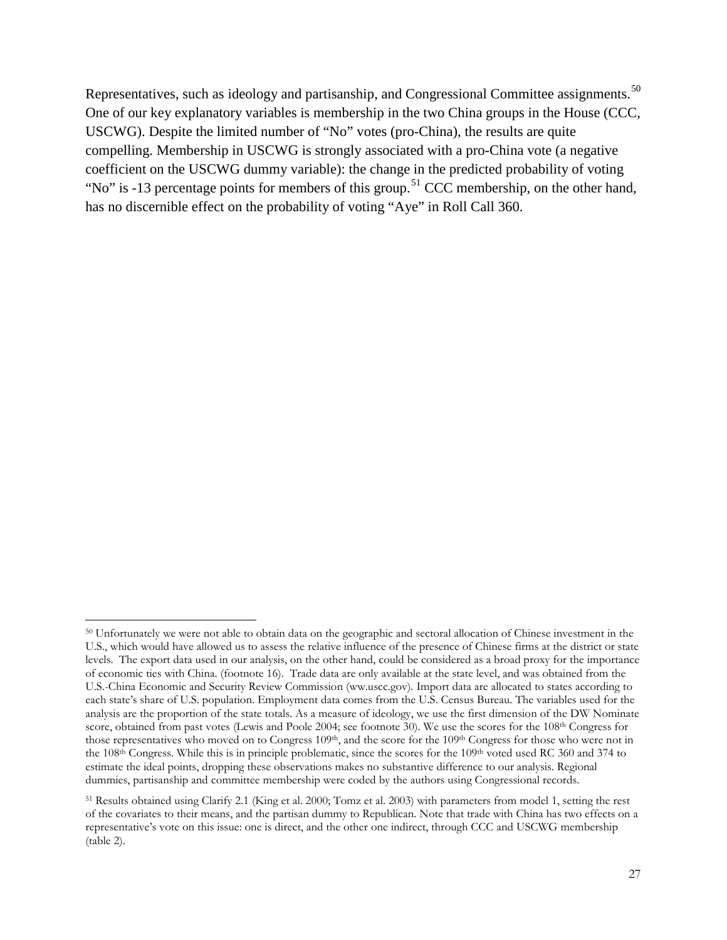Representatives, such as ideology and partisanship, and Congressional Committee assignments.<sup>[50](#page-26-0)</sup> One of our key explanatory variables is membership in the two China groups in the House (CCC, USCWG). Despite the limited number of "No" votes (pro-China), the results are quite compelling. Membership in USCWG is strongly associated with a pro-China vote (a negative coefficient on the USCWG dummy variable): the change in the predicted probability of voting "No" is -13 percentage points for members of this group.<sup>[51](#page-26-1)</sup> CCC membership, on the other hand, has no discernible effect on the probability of voting "Aye" in Roll Call 360.

<span id="page-26-0"></span> $\overline{\phantom{a}}$ <sup>50</sup> Unfortunately we were not able to obtain data on the geographic and sectoral allocation of Chinese investment in the U.S., which would have allowed us to assess the relative influence of the presence of Chinese firms at the district or state levels. The export data used in our analysis, on the other hand, could be considered as a broad proxy for the importance of economic ties with China. (footnote [16\)](#page-8-4). Trade data are only available at the state level, and was obtained from the U.S.-China Economic and Security Review Commission (ww.uscc.gov). Import data are allocated to states according to each state's share of U.S. population. Employment data comes from the U.S. Census Bureau. The variables used for the analysis are the proportion of the state totals. As a measure of ideology, we use the first dimension of the DW Nominate score, obtained from past votes (Lewis and Poole 2004; see footnote [30\)](#page-16-4). We use the scores for the 108<sup>th</sup> Congress for those representatives who moved on to Congress 109<sup>th</sup>, and the score for the 109<sup>th</sup> Congress for those who were not in the 108<sup>th</sup> Congress. While this is in principle problematic, since the scores for the 109<sup>th</sup> voted used RC 360 and 374 to estimate the ideal points, dropping these observations makes no substantive difference to our analysis. Regional dummies, partisanship and committee membership were coded by the authors using Congressional records.

<span id="page-26-1"></span><sup>51</sup> Results obtained using Clarify 2.1 (King et al. 2000; Tomz et al. 2003) with parameters from model 1, setting the rest of the covariates to their means, and the partisan dummy to Republican. Note that trade with China has two effects on a representative's vote on this issue: one is direct, and the other one indirect, through CCC and USCWG membership (table 2).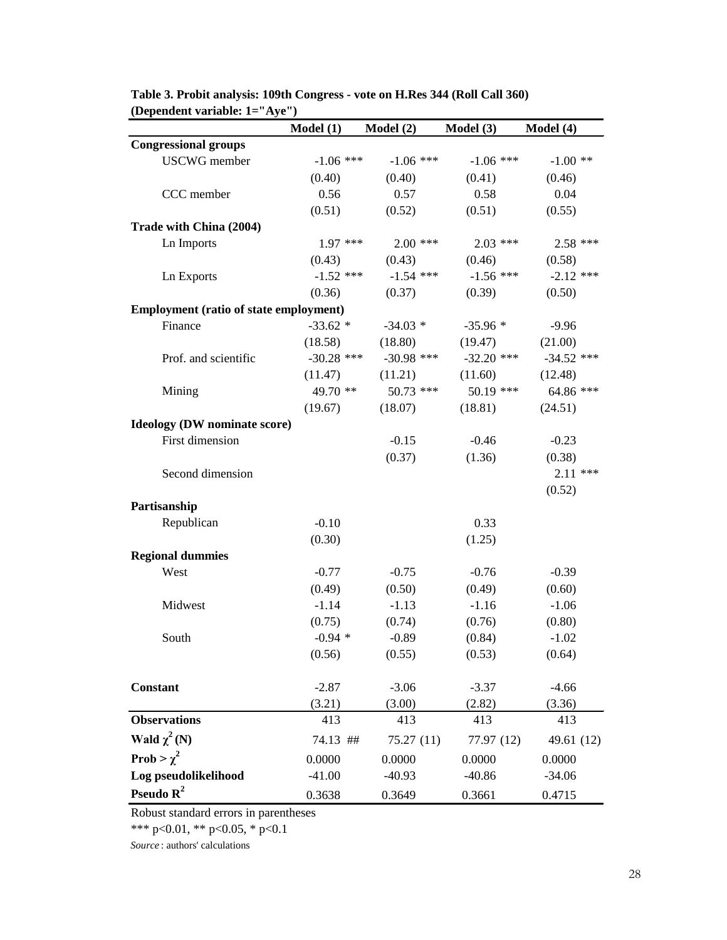|                                               | Model(1)     | Model(2)     | Model (3)    | Model (4)    |
|-----------------------------------------------|--------------|--------------|--------------|--------------|
| <b>Congressional groups</b>                   |              |              |              |              |
| <b>USCWG</b> member                           | $-1.06$ ***  | $-1.06$ ***  | $-1.06$ ***  | $-1.00$ **   |
|                                               | (0.40)       | (0.40)       | (0.41)       | (0.46)       |
| CCC member                                    | 0.56         | 0.57         | 0.58         | 0.04         |
|                                               | (0.51)       | (0.52)       | (0.51)       | (0.55)       |
| Trade with China (2004)                       |              |              |              |              |
| Ln Imports                                    | $1.97$ ***   | $2.00$ ***   | $2.03$ ***   | $2.58$ ***   |
|                                               | (0.43)       | (0.43)       | (0.46)       | (0.58)       |
| Ln Exports                                    | $-1.52$ ***  | $-1.54$ ***  | $-1.56$ ***  | $-2.12$ ***  |
|                                               | (0.36)       | (0.37)       | (0.39)       | (0.50)       |
| <b>Employment (ratio of state employment)</b> |              |              |              |              |
| Finance                                       | $-33.62*$    | $-34.03$ *   | $-35.96*$    | $-9.96$      |
|                                               | (18.58)      | (18.80)      | (19.47)      | (21.00)      |
| Prof. and scientific                          | $-30.28$ *** | $-30.98$ *** | $-32.20$ *** | $-34.52$ *** |
|                                               | (11.47)      | (11.21)      | (11.60)      | (12.48)      |
| Mining                                        | 49.70 **     | $50.73$ ***  | $50.19$ ***  | 64.86 ***    |
|                                               | (19.67)      | (18.07)      | (18.81)      | (24.51)      |
| <b>Ideology (DW nominate score)</b>           |              |              |              |              |
| First dimension                               |              | $-0.15$      | $-0.46$      | $-0.23$      |
|                                               |              | (0.37)       | (1.36)       | (0.38)       |
| Second dimension                              |              |              |              | $2.11***$    |
|                                               |              |              |              | (0.52)       |
| Partisanship                                  |              |              |              |              |
| Republican                                    | $-0.10$      |              | 0.33         |              |
|                                               | (0.30)       |              | (1.25)       |              |
| <b>Regional dummies</b>                       |              |              |              |              |
| West                                          | $-0.77$      | $-0.75$      | $-0.76$      | $-0.39$      |
|                                               | (0.49)       | (0.50)       | (0.49)       | (0.60)       |
| Midwest                                       | $-1.14$      | $-1.13$      | $-1.16$      | $-1.06$      |
|                                               | (0.75)       | (0.74)       | (0.76)       | (0.80)       |
| South                                         | $-0.94*$     | $-0.89$      | (0.84)       | $-1.02$      |
|                                               | (0.56)       | (0.55)       | (0.53)       | (0.64)       |
| Constant                                      | $-2.87$      | $-3.06$      | $-3.37$      | $-4.66$      |
|                                               | (3.21)       | (3.00)       | (2.82)       | (3.36)       |
| <b>Observations</b>                           | 413          | 413          | 413          | 413          |
| Wald $\chi^2(N)$                              | 74.13 ##     | 75.27(11)    | 77.97 (12)   | 49.61 (12)   |
|                                               |              |              |              |              |
| Prob > $\chi^2$                               | 0.0000       | 0.0000       | 0.0000       | 0.0000       |
| Log pseudolikelihood                          | $-41.00$     | $-40.93$     | $-40.86$     | $-34.06$     |
| <b>Pseudo</b> $R^2$                           | 0.3638       | 0.3649       | 0.3661       | 0.4715       |

**Table 3. Probit analysis: 109th Congress - vote on H.Res 344 (Roll Call 360) (Dependent variable: 1="Aye")**

Robust standard errors in parentheses

\*\*\* p<0.01, \*\* p<0.05, \* p<0.1

*Source* : authors' calculations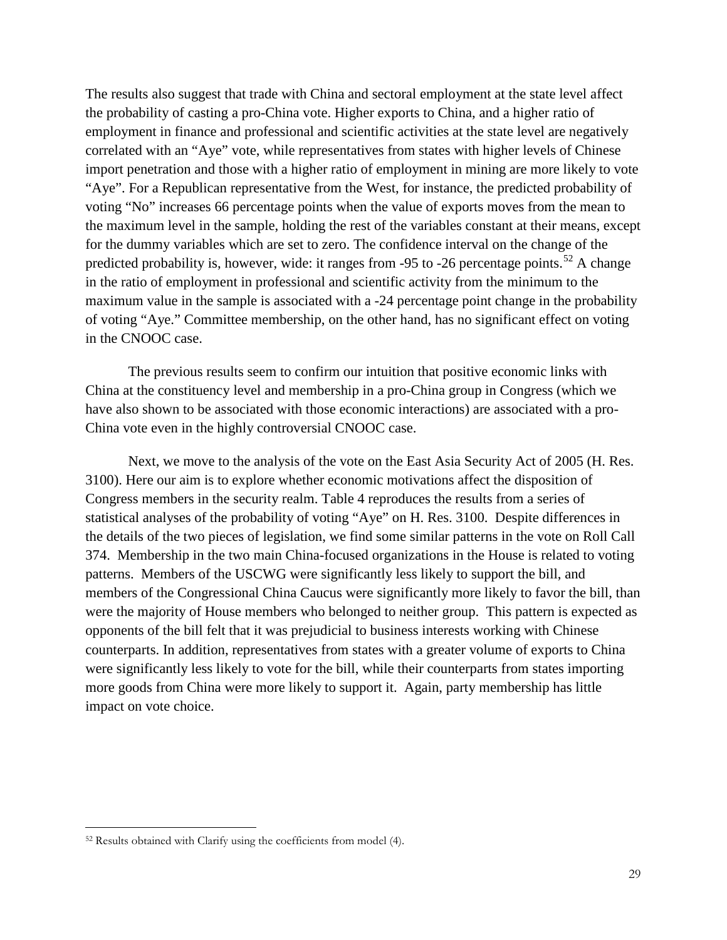The results also suggest that trade with China and sectoral employment at the state level affect the probability of casting a pro-China vote. Higher exports to China, and a higher ratio of employment in finance and professional and scientific activities at the state level are negatively correlated with an "Aye" vote, while representatives from states with higher levels of Chinese import penetration and those with a higher ratio of employment in mining are more likely to vote "Aye". For a Republican representative from the West, for instance, the predicted probability of voting "No" increases 66 percentage points when the value of exports moves from the mean to the maximum level in the sample, holding the rest of the variables constant at their means, except for the dummy variables which are set to zero. The confidence interval on the change of the predicted probability is, however, wide: it ranges from -95 to -26 percentage points.<sup>[52](#page-28-0)</sup> A change in the ratio of employment in professional and scientific activity from the minimum to the maximum value in the sample is associated with a -24 percentage point change in the probability of voting "Aye." Committee membership, on the other hand, has no significant effect on voting in the CNOOC case.

The previous results seem to confirm our intuition that positive economic links with China at the constituency level and membership in a pro-China group in Congress (which we have also shown to be associated with those economic interactions) are associated with a pro-China vote even in the highly controversial CNOOC case.

Next, we move to the analysis of the vote on the East Asia Security Act of 2005 (H. Res. 3100). Here our aim is to explore whether economic motivations affect the disposition of Congress members in the security realm. Table 4 reproduces the results from a series of statistical analyses of the probability of voting "Aye" on H. Res. 3100. Despite differences in the details of the two pieces of legislation, we find some similar patterns in the vote on Roll Call 374. Membership in the two main China-focused organizations in the House is related to voting patterns. Members of the USCWG were significantly less likely to support the bill, and members of the Congressional China Caucus were significantly more likely to favor the bill, than were the majority of House members who belonged to neither group. This pattern is expected as opponents of the bill felt that it was prejudicial to business interests working with Chinese counterparts. In addition, representatives from states with a greater volume of exports to China were significantly less likely to vote for the bill, while their counterparts from states importing more goods from China were more likely to support it. Again, party membership has little impact on vote choice.

<span id="page-28-0"></span><sup>52</sup> Results obtained with Clarify using the coefficients from model (4).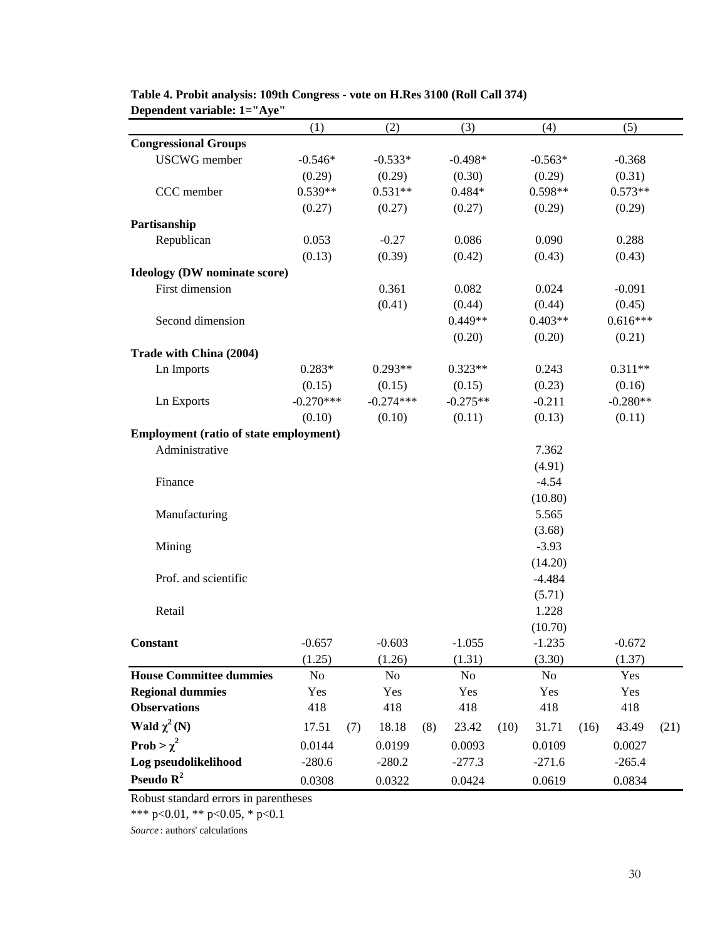|                                               | (1)          |     | (2)          |     | (3)          |      | (4)       |      | (5)        |      |
|-----------------------------------------------|--------------|-----|--------------|-----|--------------|------|-----------|------|------------|------|
| <b>Congressional Groups</b>                   |              |     |              |     |              |      |           |      |            |      |
| <b>USCWG</b> member                           | $-0.546*$    |     | $-0.533*$    |     | $-0.498*$    |      | $-0.563*$ |      | $-0.368$   |      |
|                                               | (0.29)       |     | (0.29)       |     | (0.30)       |      | (0.29)    |      | (0.31)     |      |
| CCC member                                    | $0.539**$    |     | $0.531**$    |     | $0.484*$     |      | $0.598**$ |      | $0.573**$  |      |
|                                               | (0.27)       |     | (0.27)       |     | (0.27)       |      | (0.29)    |      | (0.29)     |      |
| Partisanship                                  |              |     |              |     |              |      |           |      |            |      |
| Republican                                    | 0.053        |     | $-0.27$      |     | 0.086        |      | 0.090     |      | 0.288      |      |
|                                               | (0.13)       |     | (0.39)       |     | (0.42)       |      | (0.43)    |      | (0.43)     |      |
| <b>Ideology (DW nominate score)</b>           |              |     |              |     |              |      |           |      |            |      |
| First dimension                               |              |     | 0.361        |     | 0.082        |      | 0.024     |      | $-0.091$   |      |
|                                               |              |     | (0.41)       |     | (0.44)       |      | (0.44)    |      | (0.45)     |      |
| Second dimension                              |              |     |              |     | $0.449**$    |      | $0.403**$ |      | $0.616***$ |      |
|                                               |              |     |              |     | (0.20)       |      | (0.20)    |      | (0.21)     |      |
| Trade with China (2004)                       |              |     |              |     |              |      |           |      |            |      |
| Ln Imports                                    | $0.283*$     |     | $0.293**$    |     | $0.323**$    |      | 0.243     |      | $0.311**$  |      |
|                                               | (0.15)       |     | (0.15)       |     | (0.15)       |      | (0.23)    |      | (0.16)     |      |
| Ln Exports                                    | $-0.270***$  |     | $-0.274***$  |     | $-0.275**$   |      | $-0.211$  |      | $-0.280**$ |      |
|                                               | (0.10)       |     | (0.10)       |     | (0.11)       |      | (0.13)    |      | (0.11)     |      |
| <b>Employment (ratio of state employment)</b> |              |     |              |     |              |      |           |      |            |      |
| Administrative                                |              |     |              |     |              |      | 7.362     |      |            |      |
|                                               |              |     |              |     |              |      | (4.91)    |      |            |      |
| Finance                                       |              |     |              |     |              |      | $-4.54$   |      |            |      |
|                                               |              |     |              |     |              |      | (10.80)   |      |            |      |
| Manufacturing                                 |              |     |              |     |              |      | 5.565     |      |            |      |
|                                               |              |     |              |     |              |      | (3.68)    |      |            |      |
| Mining                                        |              |     |              |     |              |      | $-3.93$   |      |            |      |
|                                               |              |     |              |     |              |      | (14.20)   |      |            |      |
| Prof. and scientific                          |              |     |              |     |              |      | $-4.484$  |      |            |      |
|                                               |              |     |              |     |              |      | (5.71)    |      |            |      |
| Retail                                        |              |     |              |     |              |      | 1.228     |      |            |      |
|                                               |              |     |              |     |              |      | (10.70)   |      |            |      |
| <b>Constant</b>                               | $-0.657$     |     | $-0.603$     |     | $-1.055$     |      | $-1.235$  |      | $-0.672$   |      |
| <b>House Committee dummies</b>                | (1.25)<br>No |     | (1.26)<br>No |     | (1.31)<br>No |      | (3.30)    |      | (1.37)     |      |
| <b>Regional dummies</b>                       | Yes          |     | Yes          |     | Yes          |      | No<br>Yes |      | Yes<br>Yes |      |
| <b>Observations</b>                           | 418          |     | 418          |     | 418          |      | 418       |      | 418        |      |
| Wald $\chi^2(N)$                              |              |     |              |     |              |      |           |      |            |      |
|                                               | 17.51        | (7) | 18.18        | (8) | 23.42        | (10) | 31.71     | (16) | 43.49      | (21) |
| Prob > $\gamma^2$                             | 0.0144       |     | 0.0199       |     | 0.0093       |      | 0.0109    |      | 0.0027     |      |
| Log pseudolikelihood                          | $-280.6$     |     | $-280.2$     |     | $-277.3$     |      | $-271.6$  |      | $-265.4$   |      |
| Pseudo $R^2$                                  | 0.0308       |     | 0.0322       |     | 0.0424       |      | 0.0619    |      | 0.0834     |      |

# **Table 4. Probit analysis: 109th Congress - vote on H.Res 3100 (Roll Call 374) Dependent variable: 1="Aye"**

Robust standard errors in parentheses

\*\*\* p<0.01, \*\* p<0.05, \* p<0.1

*Source* : authors' calculations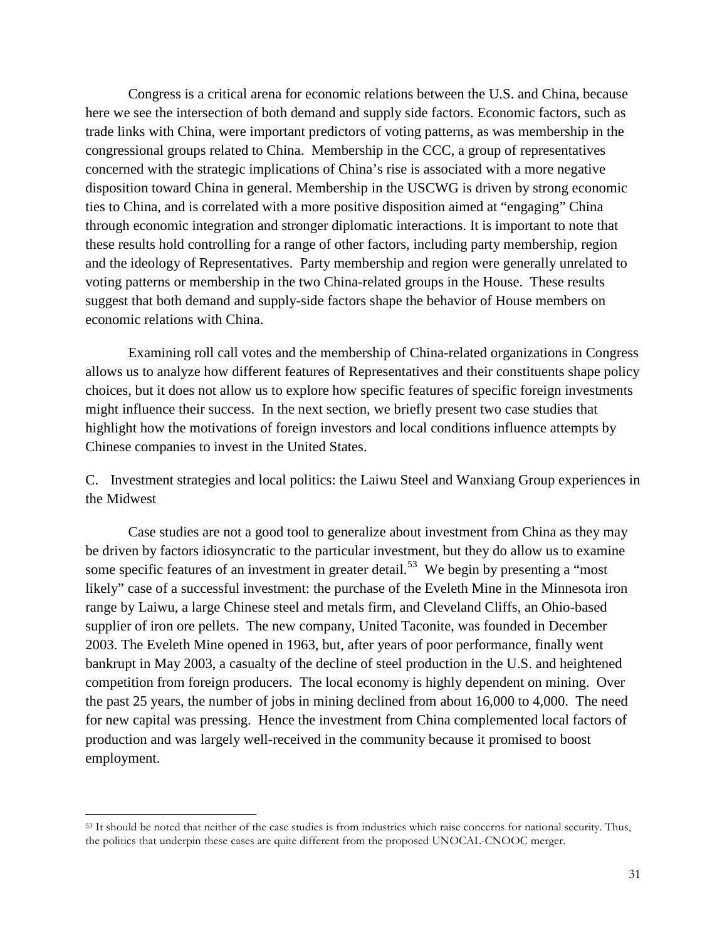Congress is a critical arena for economic relations between the U.S. and China, because here we see the intersection of both demand and supply side factors. Economic factors, such as trade links with China, were important predictors of voting patterns, as was membership in the congressional groups related to China. Membership in the CCC, a group of representatives concerned with the strategic implications of China's rise is associated with a more negative disposition toward China in general. Membership in the USCWG is driven by strong economic ties to China, and is correlated with a more positive disposition aimed at "engaging" China through economic integration and stronger diplomatic interactions. It is important to note that these results hold controlling for a range of other factors, including party membership, region and the ideology of Representatives. Party membership and region were generally unrelated to voting patterns or membership in the two China-related groups in the House. These results suggest that both demand and supply-side factors shape the behavior of House members on economic relations with China.

Examining roll call votes and the membership of China-related organizations in Congress allows us to analyze how different features of Representatives and their constituents shape policy choices, but it does not allow us to explore how specific features of specific foreign investments might influence their success. In the next section, we briefly present two case studies that highlight how the motivations of foreign investors and local conditions influence attempts by Chinese companies to invest in the United States.

C. Investment strategies and local politics: the Laiwu Steel and Wanxiang Group experiences in the Midwest

Case studies are not a good tool to generalize about investment from China as they may be driven by factors idiosyncratic to the particular investment, but they do allow us to examine some specific features of an investment in greater detail.<sup>[53](#page-30-0)</sup> We begin by presenting a "most likely" case of a successful investment: the purchase of the Eveleth Mine in the Minnesota iron range by Laiwu, a large Chinese steel and metals firm, and Cleveland Cliffs, an Ohio-based supplier of iron ore pellets. The new company, United Taconite, was founded in December 2003. The Eveleth Mine opened in 1963, but, after years of poor performance, finally went bankrupt in May 2003, a casualty of the decline of steel production in the U.S. and heightened competition from foreign producers. The local economy is highly dependent on mining. Over the past 25 years, the number of jobs in mining declined from about 16,000 to 4,000. The need for new capital was pressing. Hence the investment from China complemented local factors of production and was largely well-received in the community because it promised to boost employment.

<span id="page-30-0"></span><sup>53</sup> It should be noted that neither of the case studies is from industries which raise concerns for national security. Thus, the politics that underpin these cases are quite different from the proposed UNOCAL-CNOOC merger.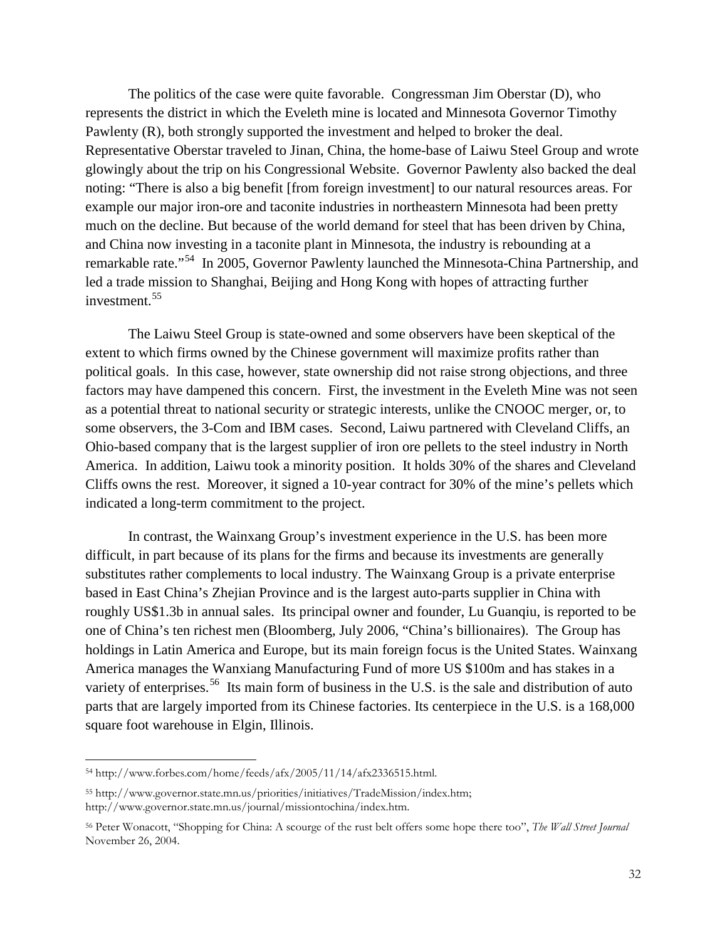The politics of the case were quite favorable. Congressman Jim Oberstar (D), who represents the district in which the Eveleth mine is located and Minnesota Governor Timothy Pawlenty (R), both strongly supported the investment and helped to broker the deal. Representative Oberstar traveled to Jinan, China, the home-base of Laiwu Steel Group and wrote glowingly about the trip on his Congressional Website. Governor Pawlenty also backed the deal noting: "There is also a big benefit [from foreign investment] to our natural resources areas. For example our major iron-ore and taconite industries in northeastern Minnesota had been pretty much on the decline. But because of the world demand for steel that has been driven by China, and China now investing in a taconite plant in Minnesota, the industry is rebounding at a remarkable rate."[54](#page-31-0) In 2005, Governor Pawlenty launched the Minnesota-China Partnership, and led a trade mission to Shanghai, Beijing and Hong Kong with hopes of attracting further investment.<sup>[55](#page-31-1)</sup>

The Laiwu Steel Group is state-owned and some observers have been skeptical of the extent to which firms owned by the Chinese government will maximize profits rather than political goals. In this case, however, state ownership did not raise strong objections, and three factors may have dampened this concern. First, the investment in the Eveleth Mine was not seen as a potential threat to national security or strategic interests, unlike the CNOOC merger, or, to some observers, the 3-Com and IBM cases. Second, Laiwu partnered with Cleveland Cliffs, an Ohio-based company that is the largest supplier of iron ore pellets to the steel industry in North America. In addition, Laiwu took a minority position. It holds 30% of the shares and Cleveland Cliffs owns the rest. Moreover, it signed a 10-year contract for 30% of the mine's pellets which indicated a long-term commitment to the project.

In contrast, the Wainxang Group's investment experience in the U.S. has been more difficult, in part because of its plans for the firms and because its investments are generally substitutes rather complements to local industry. The Wainxang Group is a private enterprise based in East China's Zhejian Province and is the largest auto-parts supplier in China with roughly US\$1.3b in annual sales. Its principal owner and founder, Lu Guanqiu, is reported to be one of China's ten richest men (Bloomberg, July 2006, "China's billionaires). The Group has holdings in Latin America and Europe, but its main foreign focus is the United States. Wainxang America manages the Wanxiang Manufacturing Fund of more US \$100m and has stakes in a variety of enterprises.<sup>[56](#page-31-2)</sup> Its main form of business in the U.S. is the sale and distribution of auto parts that are largely imported from its Chinese factories. Its centerpiece in the U.S. is a 168,000 square foot warehouse in Elgin, Illinois.

<span id="page-31-0"></span><sup>54</sup> http://www.forbes.com/home/feeds/afx/2005/11/14/afx2336515.html.

<span id="page-31-1"></span><sup>55</sup> http://www.governor.state.mn.us/priorities/initiatives/TradeMission/index.htm; http://www.governor.state.mn.us/journal/missiontochina/index.htm.

<span id="page-31-2"></span><sup>56</sup> Peter Wonacott, "Shopping for China: A scourge of the rust belt offers some hope there too", *The Wall Street Journal* November 26, 2004.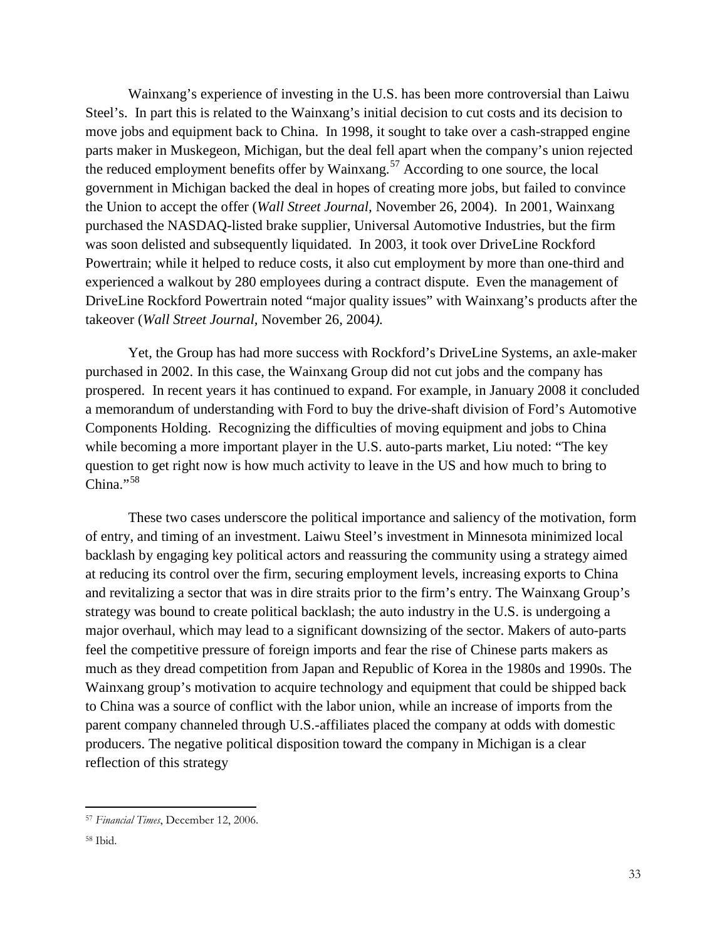Wainxang's experience of investing in the U.S. has been more controversial than Laiwu Steel's. In part this is related to the Wainxang's initial decision to cut costs and its decision to move jobs and equipment back to China. In 1998, it sought to take over a cash-strapped engine parts maker in Muskegeon, Michigan, but the deal fell apart when the company's union rejected the reduced employment benefits offer by Wainxang.<sup>[57](#page-32-0)</sup> According to one source, the local government in Michigan backed the deal in hopes of creating more jobs, but failed to convince the Union to accept the offer (*Wall Street Journal,* November 26, 2004). In 2001, Wainxang purchased the NASDAQ-listed brake supplier, Universal Automotive Industries, but the firm was soon delisted and subsequently liquidated. In 2003, it took over DriveLine Rockford Powertrain; while it helped to reduce costs, it also cut employment by more than one-third and experienced a walkout by 280 employees during a contract dispute. Even the management of DriveLine Rockford Powertrain noted "major quality issues" with Wainxang's products after the takeover (*Wall Street Journal,* November 26, 2004*).* 

Yet, the Group has had more success with Rockford's DriveLine Systems, an axle-maker purchased in 2002. In this case, the Wainxang Group did not cut jobs and the company has prospered. In recent years it has continued to expand. For example, in January 2008 it concluded a memorandum of understanding with Ford to buy the drive-shaft division of Ford's Automotive Components Holding. Recognizing the difficulties of moving equipment and jobs to China while becoming a more important player in the U.S. auto-parts market, Liu noted: "The key question to get right now is how much activity to leave in the US and how much to bring to China."<sup>[58](#page-32-1)</sup>

These two cases underscore the political importance and saliency of the motivation, form of entry, and timing of an investment. Laiwu Steel's investment in Minnesota minimized local backlash by engaging key political actors and reassuring the community using a strategy aimed at reducing its control over the firm, securing employment levels, increasing exports to China and revitalizing a sector that was in dire straits prior to the firm's entry. The Wainxang Group's strategy was bound to create political backlash; the auto industry in the U.S. is undergoing a major overhaul, which may lead to a significant downsizing of the sector. Makers of auto-parts feel the competitive pressure of foreign imports and fear the rise of Chinese parts makers as much as they dread competition from Japan and Republic of Korea in the 1980s and 1990s. The Wainxang group's motivation to acquire technology and equipment that could be shipped back to China was a source of conflict with the labor union, while an increase of imports from the parent company channeled through U.S.-affiliates placed the company at odds with domestic producers. The negative political disposition toward the company in Michigan is a clear reflection of this strategy

<span id="page-32-0"></span><sup>57</sup> *Financial Times*, December 12, 2006.

<span id="page-32-1"></span><sup>58</sup> Ibid.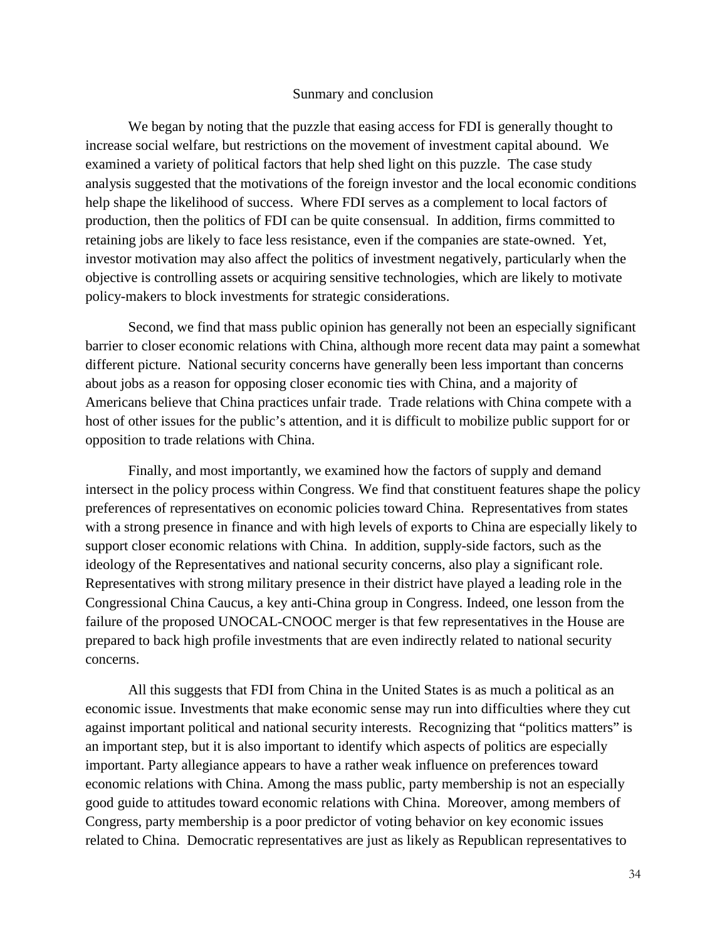#### Sunmary and conclusion

We began by noting that the puzzle that easing access for FDI is generally thought to increase social welfare, but restrictions on the movement of investment capital abound. We examined a variety of political factors that help shed light on this puzzle. The case study analysis suggested that the motivations of the foreign investor and the local economic conditions help shape the likelihood of success. Where FDI serves as a complement to local factors of production, then the politics of FDI can be quite consensual. In addition, firms committed to retaining jobs are likely to face less resistance, even if the companies are state-owned. Yet, investor motivation may also affect the politics of investment negatively, particularly when the objective is controlling assets or acquiring sensitive technologies, which are likely to motivate policy-makers to block investments for strategic considerations.

Second, we find that mass public opinion has generally not been an especially significant barrier to closer economic relations with China, although more recent data may paint a somewhat different picture. National security concerns have generally been less important than concerns about jobs as a reason for opposing closer economic ties with China, and a majority of Americans believe that China practices unfair trade. Trade relations with China compete with a host of other issues for the public's attention, and it is difficult to mobilize public support for or opposition to trade relations with China.

Finally, and most importantly, we examined how the factors of supply and demand intersect in the policy process within Congress. We find that constituent features shape the policy preferences of representatives on economic policies toward China. Representatives from states with a strong presence in finance and with high levels of exports to China are especially likely to support closer economic relations with China. In addition, supply-side factors, such as the ideology of the Representatives and national security concerns, also play a significant role. Representatives with strong military presence in their district have played a leading role in the Congressional China Caucus, a key anti-China group in Congress. Indeed, one lesson from the failure of the proposed UNOCAL-CNOOC merger is that few representatives in the House are prepared to back high profile investments that are even indirectly related to national security concerns.

All this suggests that FDI from China in the United States is as much a political as an economic issue. Investments that make economic sense may run into difficulties where they cut against important political and national security interests. Recognizing that "politics matters" is an important step, but it is also important to identify which aspects of politics are especially important. Party allegiance appears to have a rather weak influence on preferences toward economic relations with China. Among the mass public, party membership is not an especially good guide to attitudes toward economic relations with China. Moreover, among members of Congress, party membership is a poor predictor of voting behavior on key economic issues related to China. Democratic representatives are just as likely as Republican representatives to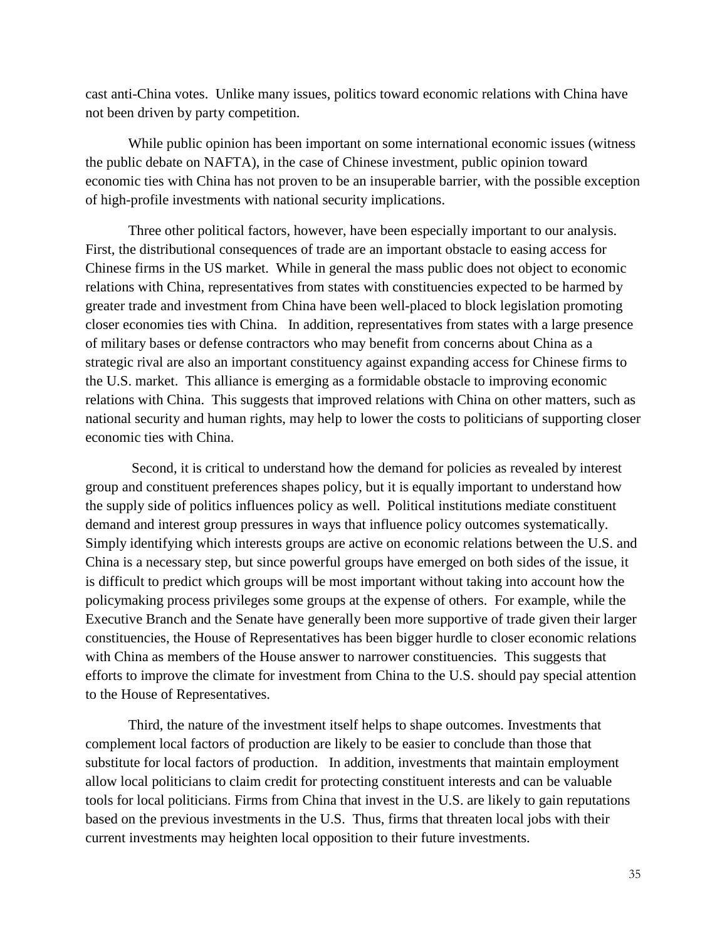cast anti-China votes. Unlike many issues, politics toward economic relations with China have not been driven by party competition.

While public opinion has been important on some international economic issues (witness the public debate on NAFTA), in the case of Chinese investment, public opinion toward economic ties with China has not proven to be an insuperable barrier, with the possible exception of high-profile investments with national security implications.

Three other political factors, however, have been especially important to our analysis. First, the distributional consequences of trade are an important obstacle to easing access for Chinese firms in the US market. While in general the mass public does not object to economic relations with China, representatives from states with constituencies expected to be harmed by greater trade and investment from China have been well-placed to block legislation promoting closer economies ties with China. In addition, representatives from states with a large presence of military bases or defense contractors who may benefit from concerns about China as a strategic rival are also an important constituency against expanding access for Chinese firms to the U.S. market. This alliance is emerging as a formidable obstacle to improving economic relations with China. This suggests that improved relations with China on other matters, such as national security and human rights, may help to lower the costs to politicians of supporting closer economic ties with China.

Second, it is critical to understand how the demand for policies as revealed by interest group and constituent preferences shapes policy, but it is equally important to understand how the supply side of politics influences policy as well. Political institutions mediate constituent demand and interest group pressures in ways that influence policy outcomes systematically. Simply identifying which interests groups are active on economic relations between the U.S. and China is a necessary step, but since powerful groups have emerged on both sides of the issue, it is difficult to predict which groups will be most important without taking into account how the policymaking process privileges some groups at the expense of others. For example, while the Executive Branch and the Senate have generally been more supportive of trade given their larger constituencies, the House of Representatives has been bigger hurdle to closer economic relations with China as members of the House answer to narrower constituencies. This suggests that efforts to improve the climate for investment from China to the U.S. should pay special attention to the House of Representatives.

Third, the nature of the investment itself helps to shape outcomes. Investments that complement local factors of production are likely to be easier to conclude than those that substitute for local factors of production. In addition, investments that maintain employment allow local politicians to claim credit for protecting constituent interests and can be valuable tools for local politicians. Firms from China that invest in the U.S. are likely to gain reputations based on the previous investments in the U.S. Thus, firms that threaten local jobs with their current investments may heighten local opposition to their future investments.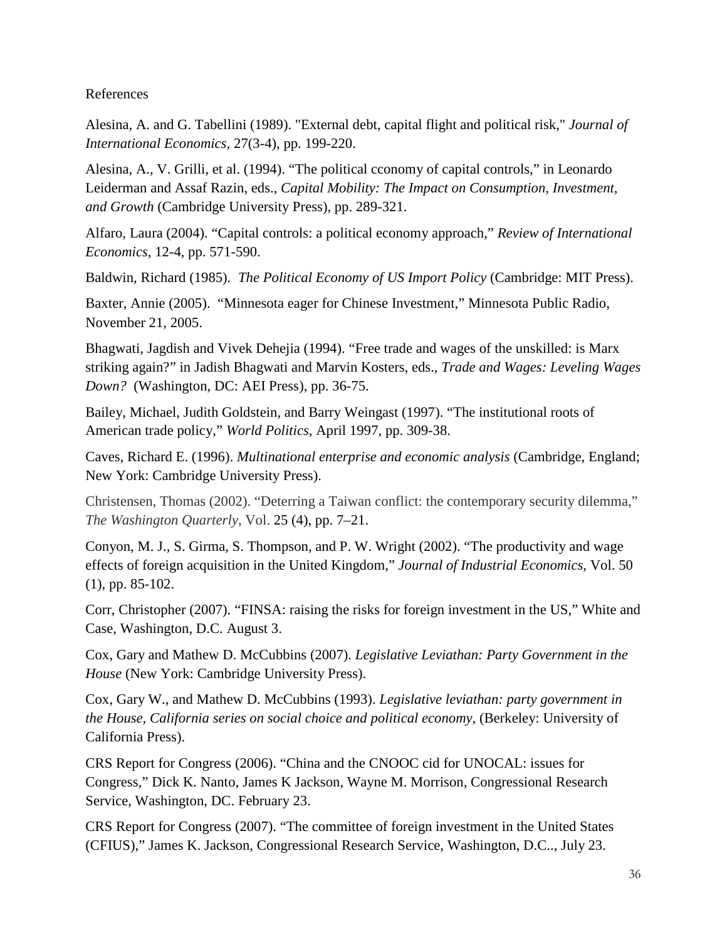# References

Alesina, A. and G. Tabellini (1989). "External debt, capital flight and political risk," *Journal of International Economics,* 27(3-4), pp. 199-220.

Alesina, A., V. Grilli, et al. (1994). "The political cconomy of capital controls," in Leonardo Leiderman and Assaf Razin, eds., *Capital Mobility: The Impact on Consumption, Investment, and Growth* (Cambridge University Press), pp. 289-321.

Alfaro, Laura (2004). "Capital controls: a political economy approach," *Review of International Economics,* 12-4, pp. 571-590.

Baldwin, Richard (1985). *The Political Economy of US Import Policy* (Cambridge: MIT Press).

Baxter, Annie (2005). "Minnesota eager for Chinese Investment," Minnesota Public Radio, November 21, 2005.

Bhagwati, Jagdish and Vivek Dehejia (1994). "Free trade and wages of the unskilled: is Marx striking again?" in Jadish Bhagwati and Marvin Kosters, eds., *Trade and Wages: Leveling Wages Down?* (Washington, DC: AEI Press), pp. 36-75.

Bailey, Michael, Judith Goldstein, and Barry Weingast (1997). "The institutional roots of American trade policy," *World Politics*, April 1997, pp. 309-38.

Caves, Richard E. (1996). *Multinational enterprise and economic analysis* (Cambridge, England; New York: Cambridge University Press).

Christensen, Thomas (2002). "Deterring a Taiwan conflict: the contemporary security dilemma," *The Washington Quarterly*, Vol. 25 (4), pp. 7–21.

Conyon, M. J., S. Girma, S. Thompson, and P. W. Wright (2002). "The productivity and wage effects of foreign acquisition in the United Kingdom," *Journal of Industrial Economics*, Vol. 50 (1), pp. 85-102.

Corr, Christopher (2007). "FINSA: raising the risks for foreign investment in the US," White and Case, Washington, D.C. August 3.

Cox, Gary and Mathew D. McCubbins (2007). *Legislative Leviathan: Party Government in the House* (New York: Cambridge University Press).

Cox, Gary W., and Mathew D. McCubbins (1993). *Legislative leviathan: party government in the House, California series on social choice and political economy*, (Berkeley: University of California Press).

CRS Report for Congress (2006). "China and the CNOOC cid for UNOCAL: issues for Congress," Dick K. Nanto, James K Jackson, Wayne M. Morrison, Congressional Research Service, Washington, DC. February 23.

CRS Report for Congress (2007). "The committee of foreign investment in the United States (CFIUS)," James K. Jackson, Congressional Research Service, Washington, D.C.., July 23.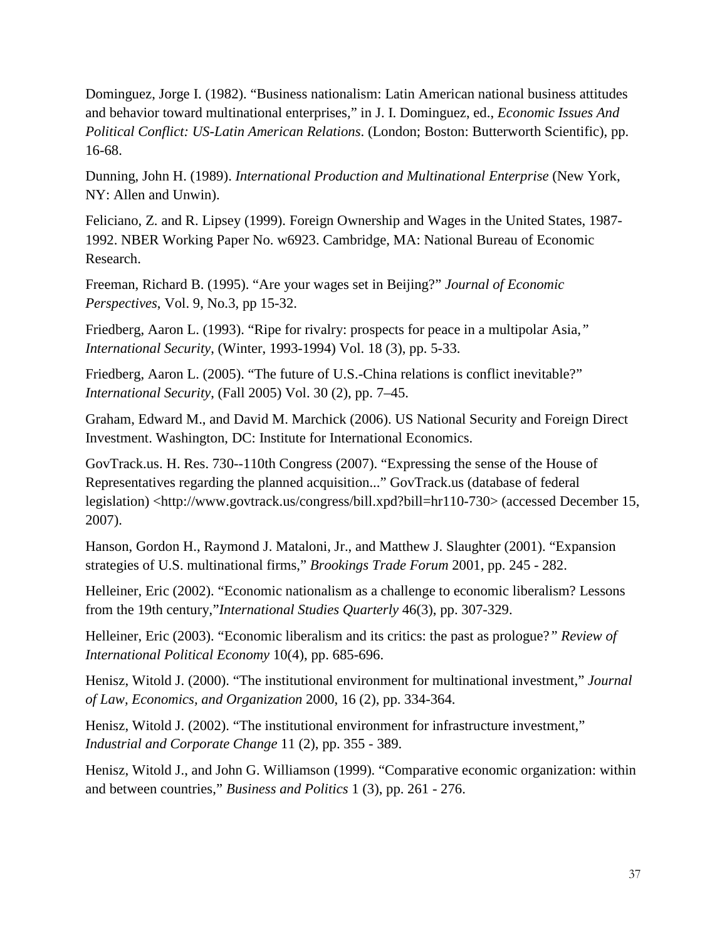Dominguez, Jorge I. (1982). "Business nationalism: Latin American national business attitudes and behavior toward multinational enterprises," in J. I. Dominguez, ed., *Economic Issues And Political Conflict: US-Latin American Relations*. (London; Boston: Butterworth Scientific), pp. 16-68.

Dunning, John H. (1989). *International Production and Multinational Enterprise* (New York, NY: Allen and Unwin).

Feliciano, Z. and R. Lipsey (1999). Foreign Ownership and Wages in the United States, 1987- 1992. NBER Working Paper No. w6923. Cambridge, MA: National Bureau of Economic Research.

Freeman, Richard B. (1995). "Are your wages set in Beijing?" *Journal of Economic Perspectives*, Vol. 9, No.3, pp 15-32.

Friedberg, Aaron L. (1993). "Ripe for rivalry: prospects for peace in a multipolar Asia*," International Security*, (Winter, 1993-1994) Vol. 18 (3), pp. 5-33.

Friedberg, Aaron L. (2005). "The future of U.S.-China relations is conflict inevitable?" *International Security*, (Fall 2005) Vol. 30 (2), pp. 7–45.

Graham, Edward M., and David M. Marchick (2006). US National Security and Foreign Direct Investment. Washington, DC: Institute for International Economics.

GovTrack.us. H. Res. 730--110th Congress (2007). "Expressing the sense of the House of Representatives regarding the planned acquisition..." GovTrack.us (database of federal legislation) <http://www.govtrack.us/congress/bill.xpd?bill=hr110-730> (accessed December 15, 2007).

Hanson, Gordon H., Raymond J. Mataloni, Jr., and Matthew J. Slaughter (2001). "Expansion strategies of U.S. multinational firms," *Brookings Trade Forum* 2001, pp. 245 - 282.

Helleiner, Eric (2002). "Economic nationalism as a challenge to economic liberalism? Lessons from the 19th century,"*International Studies Quarterly* 46(3), pp. 307-329.

Helleiner, Eric (2003). "Economic liberalism and its critics: the past as prologue?*" Review of International Political Economy* 10(4), pp. 685-696.

Henisz, Witold J. (2000). "The institutional environment for multinational investment," *Journal of Law, Economics, and Organization* 2000, 16 (2), pp. 334-364.

Henisz, Witold J. (2002). "The institutional environment for infrastructure investment," *Industrial and Corporate Change* 11 (2), pp. 355 - 389.

Henisz, Witold J., and John G. Williamson (1999). "Comparative economic organization: within and between countries," *Business and Politics* 1 (3), pp. 261 - 276.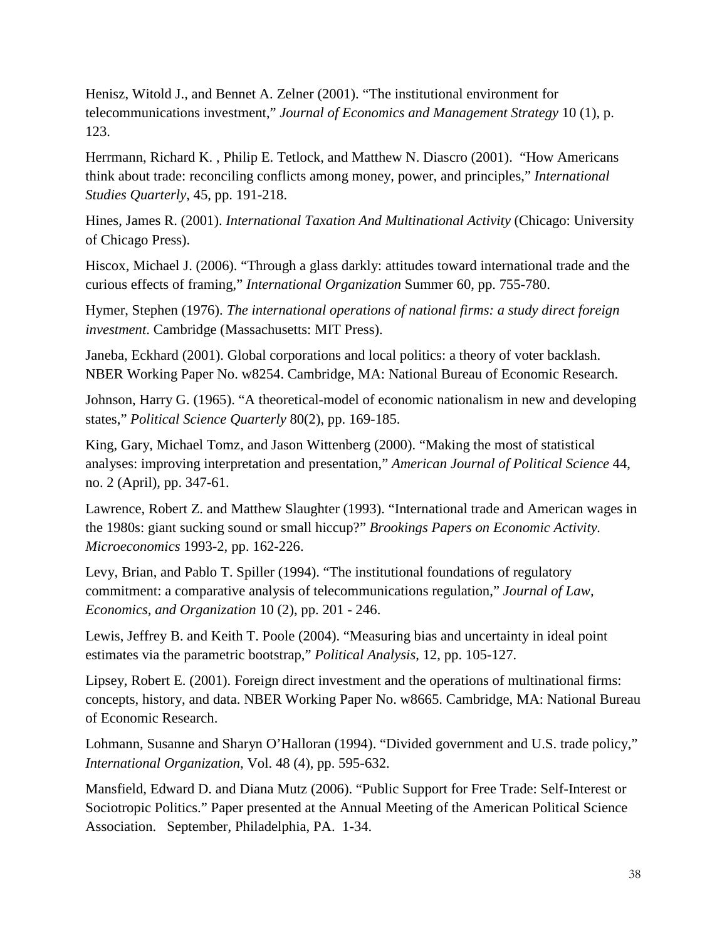Henisz, Witold J., and Bennet A. Zelner (2001). "The institutional environment for telecommunications investment," *Journal of Economics and Management Strategy* 10 (1), p. 123.

Herrmann, Richard K. , Philip E. Tetlock, and Matthew N. Diascro (2001). "How Americans think about trade: reconciling conflicts among money, power, and principles," *International Studies Quarterly*, 45, pp. 191-218.

Hines, James R. (2001). *International Taxation And Multinational Activity* (Chicago: University of Chicago Press).

Hiscox, Michael J. (2006). "Through a glass darkly: attitudes toward international trade and the curious effects of framing," *International Organization* Summer 60, pp. 755-780.

Hymer, Stephen (1976). *The international operations of national firms: a study direct foreign investment*. Cambridge (Massachusetts: MIT Press).

Janeba, Eckhard (2001). Global corporations and local politics: a theory of voter backlash. NBER Working Paper No. w8254. Cambridge, MA: National Bureau of Economic Research.

Johnson, Harry G. (1965). "A theoretical-model of economic nationalism in new and developing states," *Political Science Quarterly* 80(2), pp. 169-185.

King, Gary, Michael Tomz, and Jason Wittenberg (2000). "Making the most of statistical analyses: improving interpretation and presentation," *American Journal of Political Science* 44, no. 2 (April), pp. 347-61.

Lawrence, Robert Z. and Matthew Slaughter (1993). "International trade and American wages in the 1980s: giant sucking sound or small hiccup?" *Brookings Papers on Economic Activity. Microeconomics* 1993-2, pp. 162-226.

Levy, Brian, and Pablo T. Spiller (1994). "The institutional foundations of regulatory commitment: a comparative analysis of telecommunications regulation," *Journal of Law, Economics, and Organization* 10 (2), pp. 201 - 246.

Lewis, Jeffrey B. and Keith T. Poole (2004). "Measuring bias and uncertainty in ideal point estimates via the parametric bootstrap," *Political Analysis*, 12, pp. 105-127.

Lipsey, Robert E. (2001). Foreign direct investment and the operations of multinational firms: concepts, history, and data. NBER Working Paper No. w8665. Cambridge, MA: National Bureau of Economic Research.

Lohmann, Susanne and Sharyn O'Halloran (1994). "Divided government and U.S. trade policy," *International Organization*, Vol. 48 (4), pp. 595-632.

Mansfield, Edward D. and Diana Mutz (2006). "Public Support for Free Trade: Self-Interest or Sociotropic Politics." Paper presented at the Annual Meeting of the American Political Science Association. September, Philadelphia, PA. 1-34.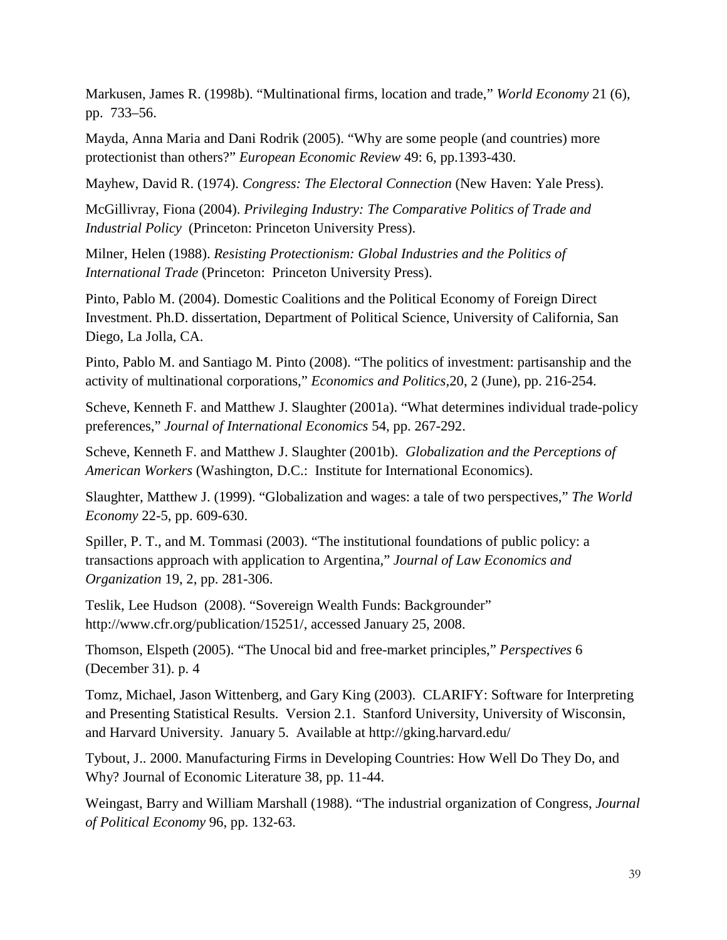Markusen, James R. (1998b). "Multinational firms, location and trade," *World Economy* 21 (6), pp. 733–56.

Mayda, Anna Maria and Dani Rodrik (2005). "Why are some people (and countries) more protectionist than others?" *European Economic Review* 49: 6, pp.1393-430.

Mayhew, David R. (1974). *Congress: The Electoral Connection* (New Haven: Yale Press).

McGillivray, Fiona (2004). *Privileging Industry: The Comparative Politics of Trade and Industrial Policy* (Princeton: Princeton University Press).

Milner, Helen (1988). *Resisting Protectionism: Global Industries and the Politics of International Trade* (Princeton: Princeton University Press).

Pinto, Pablo M. (2004). Domestic Coalitions and the Political Economy of Foreign Direct Investment. Ph.D. dissertation, Department of Political Science, University of California, San Diego, La Jolla, CA.

Pinto, Pablo M. and Santiago M. Pinto (2008). "The politics of investment: partisanship and the activity of multinational corporations," *Economics and Politics,*20, 2 (June), pp. 216-254.

Scheve, Kenneth F. and Matthew J. Slaughter (2001a). "What determines individual trade-policy preferences," *Journal of International Economics* 54, pp. 267-292.

Scheve, Kenneth F. and Matthew J. Slaughter (2001b). *Globalization and the Perceptions of American Workers* (Washington, D.C.: Institute for International Economics).

Slaughter, Matthew J. (1999). "Globalization and wages: a tale of two perspectives," *The World Economy* 22-5, pp. 609-630.

Spiller, P. T., and M. Tommasi (2003). "The institutional foundations of public policy: a transactions approach with application to Argentina," *Journal of Law Economics and Organization* 19, 2, pp. 281-306.

Teslik, Lee Hudson (2008). "Sovereign Wealth Funds: Backgrounder" http://www.cfr.org/publication/15251/, accessed January 25, 2008.

Thomson, Elspeth (2005). "The Unocal bid and free-market principles," *Perspectives* 6 (December 31). p. 4

Tomz, Michael, Jason Wittenberg, and Gary King (2003). CLARIFY: Software for Interpreting and Presenting Statistical Results. Version 2.1. Stanford University, University of Wisconsin, and Harvard University. January 5. Available at http://gking.harvard.edu/

Tybout, J.. 2000. Manufacturing Firms in Developing Countries: How Well Do They Do, and Why? Journal of Economic Literature 38, pp. 11-44.

Weingast, Barry and William Marshall (1988). "The industrial organization of Congress, *Journal of Political Economy* 96, pp. 132-63.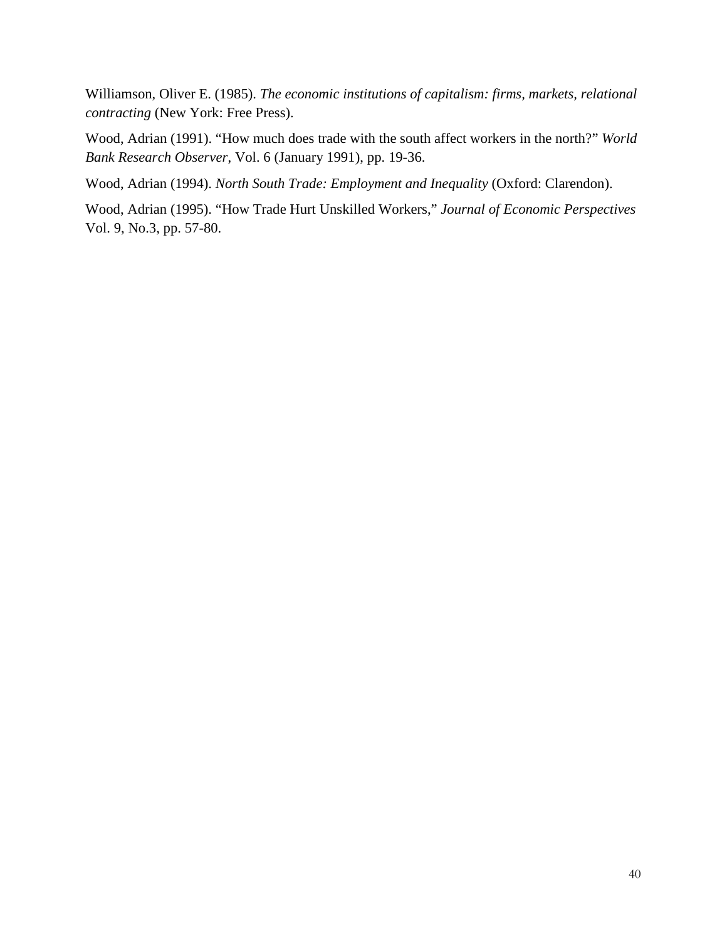Williamson, Oliver E. (1985). *The economic institutions of capitalism: firms, markets, relational contracting* (New York: Free Press).

Wood, Adrian (1991). "How much does trade with the south affect workers in the north?" *World Bank Research Observer*, Vol. 6 (January 1991), pp. 19-36.

Wood, Adrian (1994). *North South Trade: Employment and Inequality* (Oxford: Clarendon).

Wood, Adrian (1995). "How Trade Hurt Unskilled Workers," *Journal of Economic Perspectives* Vol. 9, No.3, pp. 57-80.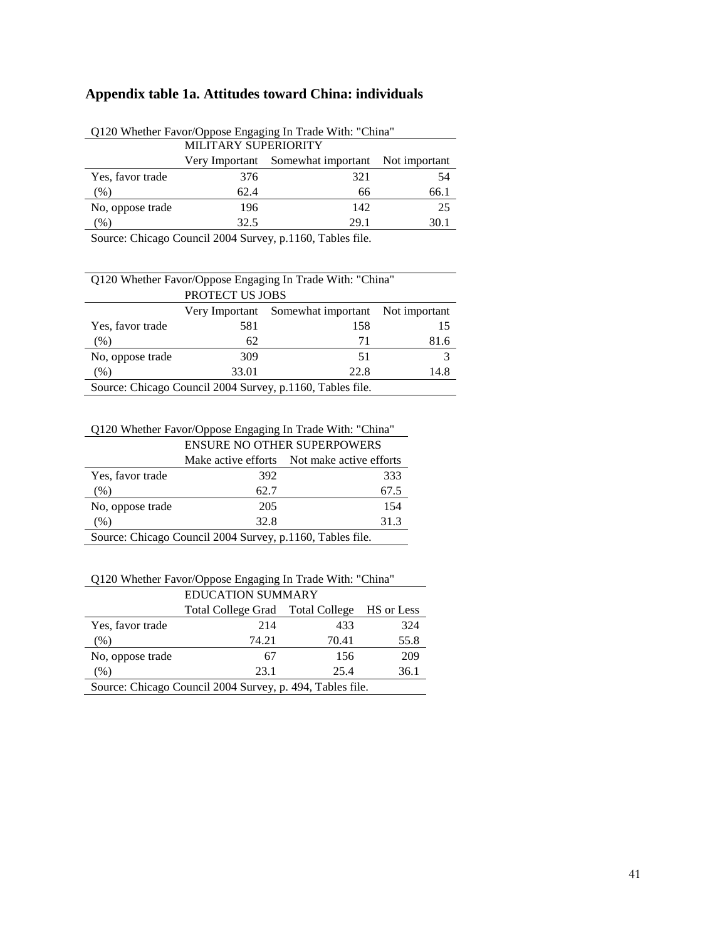# **Appendix table 1a. Attitudes toward China: individuals**

| Q120 Whether Favor/Oppose Engaging in Trade With. China |          |      |      |  |  |  |  |
|---------------------------------------------------------|----------|------|------|--|--|--|--|
| MILITARY SUPERIORITY                                    |          |      |      |  |  |  |  |
| Very Important Somewhat important Not important         |          |      |      |  |  |  |  |
| Yes, favor trade                                        | 376      | 321  | .54  |  |  |  |  |
| (% )                                                    | 62.4     | 66   | 66.1 |  |  |  |  |
| No, oppose trade                                        | 196      | 142  | 25   |  |  |  |  |
| (%)                                                     | 32.5     | 29.1 | 30.1 |  |  |  |  |
| $-1$<br>$\sim$                                          | $\cdots$ | .    |      |  |  |  |  |

Q120 Whether Favor/Oppose Engaging In Trade With: "China"

Source: Chicago Council 2004 Survey, p.1160, Tables file.

| Q120 Whether Favor/Oppose Engaging In Trade With: "China" |                                                 |      |      |  |  |  |  |
|-----------------------------------------------------------|-------------------------------------------------|------|------|--|--|--|--|
| <b>PROTECT US JOBS</b>                                    |                                                 |      |      |  |  |  |  |
|                                                           | Very Important Somewhat important Not important |      |      |  |  |  |  |
| Yes, favor trade                                          | 581                                             | 158  | 15   |  |  |  |  |
| (% )                                                      | 62                                              | 71   | 81.6 |  |  |  |  |
| No, oppose trade                                          | 309                                             | 51   |      |  |  |  |  |
| (% )                                                      | 33.01                                           | 22.8 | 14.8 |  |  |  |  |
| Source: Chicago Council 2004 Survey, p.1160, Tables file. |                                                 |      |      |  |  |  |  |

Q120 Whether Favor/Oppose Engaging In Trade With: "China"

|                                                           | <b>ENSURE NO OTHER SUPERPOWERS</b> |                                             |  |  |  |
|-----------------------------------------------------------|------------------------------------|---------------------------------------------|--|--|--|
|                                                           |                                    | Make active efforts Not make active efforts |  |  |  |
| Yes, favor trade                                          | 392                                | 333                                         |  |  |  |
| $\%$ )                                                    | 62.7                               | 67.5                                        |  |  |  |
| No, oppose trade                                          | 205                                | 154                                         |  |  |  |
| (% )                                                      | 32.8                               | 31.3                                        |  |  |  |
| Source: Chicago Council 2004 Survey, p.1160, Tables file. |                                    |                                             |  |  |  |

Q120 Whether Favor/Oppose Engaging In Trade With: "China"

|                                                           | <b>EDUCATION SUMMARY</b>                       |       |      |  |  |  |  |
|-----------------------------------------------------------|------------------------------------------------|-------|------|--|--|--|--|
|                                                           | Total College Grad Total College<br>HS or Less |       |      |  |  |  |  |
| Yes, favor trade                                          | 214                                            | 433   | 324  |  |  |  |  |
| $(\%)$                                                    | 74.21                                          | 70.41 | 55.8 |  |  |  |  |
| No, oppose trade                                          | 67                                             | 156   | 209  |  |  |  |  |
| (% )                                                      | 23.1                                           | 25.4  | 36.1 |  |  |  |  |
| Source: Chicago Council 2004 Survey, p. 494, Tables file. |                                                |       |      |  |  |  |  |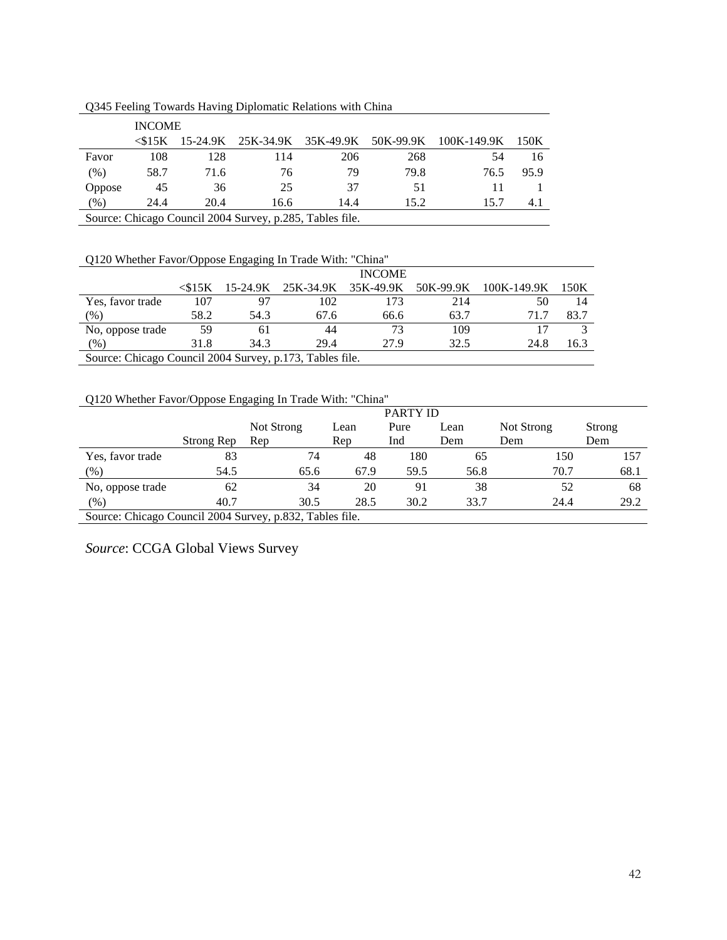|                                                          | <b>INCOME</b> |      |      |      |      |                                                    |      |
|----------------------------------------------------------|---------------|------|------|------|------|----------------------------------------------------|------|
|                                                          | $\leq$ \$15K  |      |      |      |      | 15-24.9K 25K-34.9K 35K-49.9K 50K-99.9K 100K-149.9K | 150K |
| Favor                                                    | 108           | 128  | 114  | 206  | 268  | 54                                                 | 16   |
| (% )                                                     | 58.7          | 71.6 | 76   | 79   | 79.8 | 76.5                                               | 95.9 |
| <b>Oppose</b>                                            | 45            | 36   | 25   | 37   | 51   | 11                                                 |      |
| (96)                                                     | 24.4          | 20.4 | 16.6 | 14.4 | 15.2 | 15.7                                               | 4.1  |
| Source: Chicago Council 2004 Survey, p.285, Tables file. |               |      |      |      |      |                                                    |      |

# Q345 Feeling Towards Having Diplomatic Relations with China

Q120 Whether Favor/Oppose Engaging In Trade With: "China"

|                                                          | <b>INCOME</b> |      |      |                                        |      |             |      |  |
|----------------------------------------------------------|---------------|------|------|----------------------------------------|------|-------------|------|--|
|                                                          | $<$ \$15K     |      |      | 15-24.9K 25K-34.9K 35K-49.9K 50K-99.9K |      | 100K-149.9K | 150K |  |
| Yes, favor trade                                         | 107           | 97   | 102  | 173                                    | 214  | 50          | 14   |  |
| $(\% )$                                                  | 58.2          | 54.3 | 67.6 | 66.6                                   | 63.7 | 71.7        | 83.7 |  |
| No, oppose trade                                         | 59            | 61   | 44   | 73                                     | 109  |             |      |  |
| (% )                                                     | 31.8          | 34.3 | 29.4 | 27.9                                   | 32.5 | 24.8        | 16.3 |  |
| Source: Chicago Council 2004 Survey, p.173, Tables file. |               |      |      |                                        |      |             |      |  |

# Q120 Whether Favor/Oppose Engaging In Trade With: "China"

|                                                          | <b>PARTY ID</b> |            |      |      |      |            |        |
|----------------------------------------------------------|-----------------|------------|------|------|------|------------|--------|
|                                                          |                 | Not Strong | Lean | Pure | Lean | Not Strong | Strong |
|                                                          | Strong Rep      | Rep        | Rep  | Ind  | Dem  | Dem        | Dem    |
| Yes, favor trade                                         | 83              | 74         | 48   | 180  | 65   | 150        | 157    |
| $(\%)$                                                   | 54.5            | 65.6       | 67.9 | 59.5 | 56.8 | 70.7       | 68.1   |
| No, oppose trade                                         | 62              | 34         | 20   | 91   | 38   | 52         | 68     |
| $(\%)$                                                   | 40.7            | 30.5       | 28.5 | 30.2 | 33.7 | 24.4       | 29.2   |
| Source: Chicago Council 2004 Survey, p.832, Tables file. |                 |            |      |      |      |            |        |

*Source*: CCGA Global Views Survey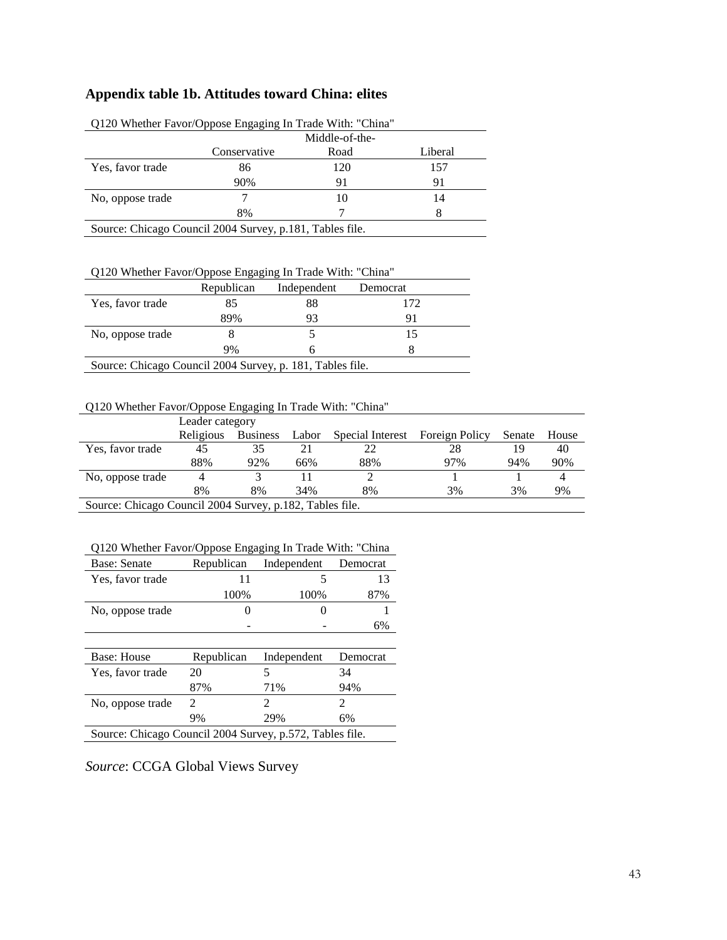# **Appendix table 1b. Attitudes toward China: elites**

| Q120 Whether Favor/Oppose Engaging In Trade With: "China" |                                 |     |     |  |  |  |  |
|-----------------------------------------------------------|---------------------------------|-----|-----|--|--|--|--|
|                                                           | Middle-of-the-                  |     |     |  |  |  |  |
|                                                           | Road<br>Liberal<br>Conservative |     |     |  |  |  |  |
| Yes, favor trade                                          | 86                              | 120 | 157 |  |  |  |  |
|                                                           | 90%                             | 91  | 91  |  |  |  |  |
| No, oppose trade                                          |                                 | 10  | 14  |  |  |  |  |
|                                                           | 8%                              |     | 8   |  |  |  |  |
| Source: Chicago Council 2004 Survey, p.181, Tables file.  |                                 |     |     |  |  |  |  |

Q120 Whether Favor/Oppose Engaging In Trade With: "China"

| . .<br><u>ບ ບ ບ</u>                                       |            |             |          |  |  |  |
|-----------------------------------------------------------|------------|-------------|----------|--|--|--|
|                                                           | Republican | Independent | Democrat |  |  |  |
| Yes, favor trade                                          | 85         | 88          | 172      |  |  |  |
|                                                           | 89%        | 93          | 91       |  |  |  |
| No, oppose trade                                          |            |             |          |  |  |  |
|                                                           | 9%         |             |          |  |  |  |
| Source: Chicago Council 2004 Survey, p. 181, Tables file. |            |             |          |  |  |  |

Q120 Whether Favor/Oppose Engaging In Trade With: "China"

|                                                          | Leader category  |                 |       |                  |                       |        |       |
|----------------------------------------------------------|------------------|-----------------|-------|------------------|-----------------------|--------|-------|
|                                                          | <b>Religious</b> | <b>Business</b> | Labor | Special Interest | <b>Foreign Policy</b> | Senate | House |
| Yes, favor trade                                         | 45               | 35              |       |                  | 28                    | 19     | 40    |
|                                                          | 88%              | 92%             | 66%   | 88%              | 97%                   | 94%    | 90%   |
| No, oppose trade                                         |                  |                 |       |                  |                       |        |       |
|                                                          | 8%               | 8%              | 34%   | 8%               | 3%                    | 3%     | 9%    |
| Source: Chicago Council 2004 Survey, p.182, Tables file. |                  |                 |       |                  |                       |        |       |

Q120 Whether Favor/Oppose Engaging In Trade With: "China

| <b>Base: Senate</b>                                      | Republican     | Independent                 | Democrat |  |  |  |
|----------------------------------------------------------|----------------|-----------------------------|----------|--|--|--|
| Yes, favor trade                                         | 11             | 5                           | 13       |  |  |  |
|                                                          | 100%           | 100%                        | 87%      |  |  |  |
| No, oppose trade                                         |                |                             |          |  |  |  |
|                                                          |                |                             | 6%       |  |  |  |
|                                                          |                |                             |          |  |  |  |
| <b>Base: House</b>                                       | Republican     | Independent                 | Democrat |  |  |  |
| Yes, favor trade                                         | 20             | 5                           | 34       |  |  |  |
|                                                          | 87%            | 71%                         | 94%      |  |  |  |
| No, oppose trade                                         | $\mathfrak{D}$ | $\mathcal{D}_{\mathcal{L}}$ | 2        |  |  |  |
|                                                          | 9%             | 29%                         | 6%       |  |  |  |
| Source: Chicago Council 2004 Survey, p.572, Tables file. |                |                             |          |  |  |  |

*Source*: CCGA Global Views Survey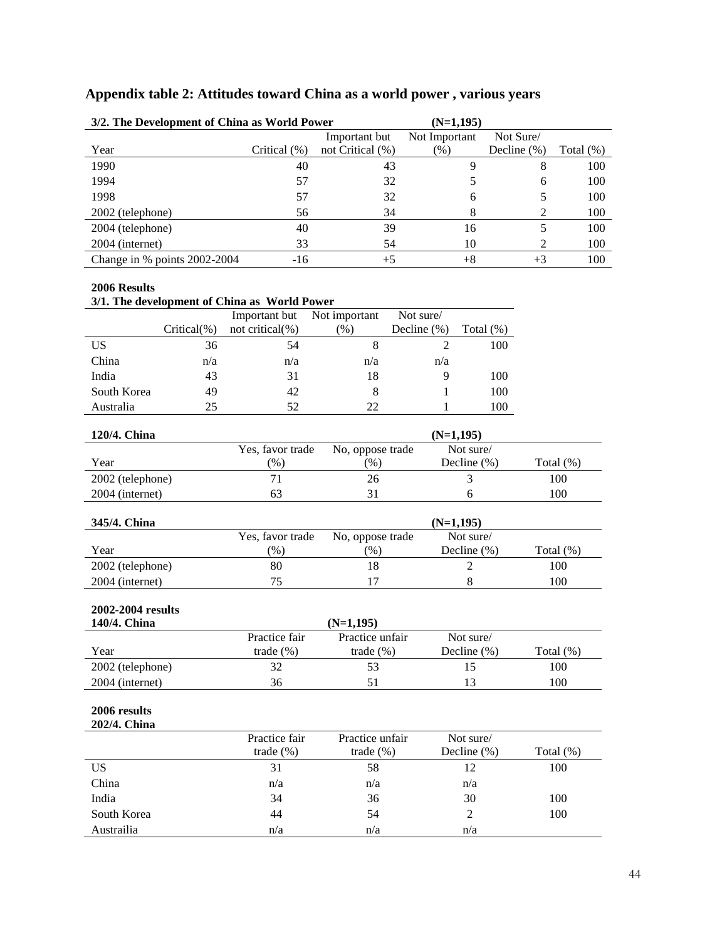| 3/2. The Development of China as World Power                 |             |                  |                  |             | $(N=1,195)$                |              |                         |
|--------------------------------------------------------------|-------------|------------------|------------------|-------------|----------------------------|--------------|-------------------------|
|                                                              |             |                  | Important but    |             | Not Sure/<br>Not Important |              |                         |
| Year                                                         |             | Critical (%)     | not Critical (%) |             | (%)                        | Decline (%)  | Total $(\%)$            |
| 1990                                                         |             | 40               |                  | 43          | 9                          |              | 8<br>100                |
| 1994                                                         |             | 57               |                  | 32          | 5                          |              | 100<br>6                |
| 1998                                                         |             | 57               |                  | 32          | 6                          |              | 5<br>100                |
| 2002 (telephone)                                             |             | 56               | 34               |             | 8                          |              | $\overline{2}$<br>100   |
| 2004 (telephone)                                             |             | 40               | 39               |             | 16                         |              | 5<br>100                |
| 2004 (internet)                                              |             | 33               |                  | 54          | 10                         |              | $\boldsymbol{2}$<br>100 |
| Change in % points 2002-2004                                 |             | $-16$            |                  | $+5$        | $+8$                       |              | $+3$<br>100             |
| 2006 Results<br>3/1. The development of China as World Power |             |                  |                  |             |                            |              |                         |
|                                                              |             | Important but    | Not important    | Not sure/   |                            |              |                         |
|                                                              | Critical(%) | not critical(%)  | (%)              | Decline (%) |                            | Total $(\%)$ |                         |
| <b>US</b>                                                    | 36          | 54               | $\,8\,$          |             | $\overline{2}$             | 100          |                         |
| China                                                        | n/a         | n/a              | n/a              |             | n/a                        |              |                         |
| India                                                        | 43          | 31               | 18               |             | 9                          | 100          |                         |
| South Korea                                                  | 49          | 42               | 8                |             | 1                          | 100          |                         |
| Australia                                                    | 25          | 52               | 22               |             | 1                          | 100          |                         |
| 120/4. China                                                 |             |                  |                  |             | $(N=1,195)$                |              |                         |
|                                                              |             | Yes, favor trade | No, oppose trade |             | Not sure/                  |              |                         |
| Year                                                         |             | $(\%)$           | (% )             |             | Decline (%)                |              | Total (%)               |
| 2002 (telephone)                                             |             | 71               | 26               |             | 3                          |              | 100                     |
| 2004 (internet)                                              |             | 63               | 31               |             | 6                          |              | 100                     |
| 345/4. China                                                 |             |                  |                  |             | $(N=1,195)$                |              |                         |
|                                                              |             | Yes, favor trade | No, oppose trade |             | Not sure/                  |              |                         |
| Year                                                         |             | $(\% )$          | (% )             |             | Decline (%)                |              | Total (%)               |
| 2002 (telephone)                                             |             | 80               | 18               |             | $\overline{c}$             |              | 100                     |
| 2004 (internet)                                              |             | 75               | 17               |             | 8                          |              | 100                     |
| 2002-2004 results<br>140/4. China<br>$(N=1,195)$             |             |                  |                  |             |                            |              |                         |
|                                                              |             | Practice fair    | Practice unfair  |             | Not sure/                  |              |                         |
| Year                                                         |             | trade $(\%)$     | trade $(\% )$    |             | Decline $(\%)$             |              | Total (%)               |
| 2002 (telephone)                                             |             | 32               | 53               |             | 15                         |              | 100                     |
| 2004 (internet)                                              |             | 36               | 51               |             | 13                         |              | 100                     |
| 2006 results<br>202/4. China                                 |             |                  |                  |             |                            |              |                         |
|                                                              |             | Practice fair    | Practice unfair  |             | Not sure/                  |              |                         |
|                                                              |             | trade $(\%)$     | trade (%)        |             | Decline (%)                |              | Total (%)               |
| <b>US</b>                                                    |             | 31               | 58               |             | 12                         |              | 100                     |
| China                                                        |             | n/a              | n/a              |             | n/a                        |              |                         |
| India                                                        |             | 34               | 36               |             | 30                         |              | 100                     |
| South Korea                                                  |             | 44               | 54               |             | $\overline{2}$             |              | 100                     |
| Austrailia                                                   |             | n/a              | n/a              |             | n/a                        |              |                         |

# **Appendix table 2: Attitudes toward China as a world power , various years**